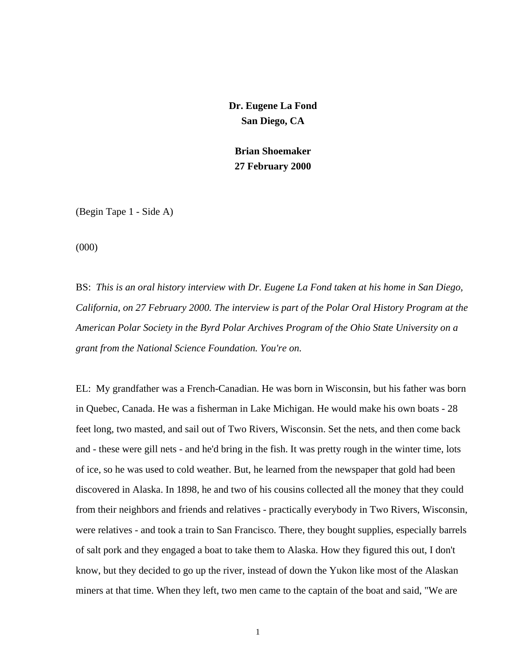**Dr. Eugene La Fond San Diego, CA** 

**Brian Shoemaker 27 February 2000** 

(Begin Tape 1 - Side A)

(000)

BS: *This is an oral history interview with Dr. Eugene La Fond taken at his home in San Diego, California, on 27 February 2000. The interview is part of the Polar Oral History Program at the American Polar Society in the Byrd Polar Archives Program of the Ohio State University on a grant from the National Science Foundation. You're on.* 

EL: My grandfather was a French-Canadian. He was born in Wisconsin, but his father was born in Quebec, Canada. He was a fisherman in Lake Michigan. He would make his own boats - 28 feet long, two masted, and sail out of Two Rivers, Wisconsin. Set the nets, and then come back and - these were gill nets - and he'd bring in the fish. It was pretty rough in the winter time, lots of ice, so he was used to cold weather. But, he learned from the newspaper that gold had been discovered in Alaska. In 1898, he and two of his cousins collected all the money that they could from their neighbors and friends and relatives - practically everybody in Two Rivers, Wisconsin, were relatives - and took a train to San Francisco. There, they bought supplies, especially barrels of salt pork and they engaged a boat to take them to Alaska. How they figured this out, I don't know, but they decided to go up the river, instead of down the Yukon like most of the Alaskan miners at that time. When they left, two men came to the captain of the boat and said, "We are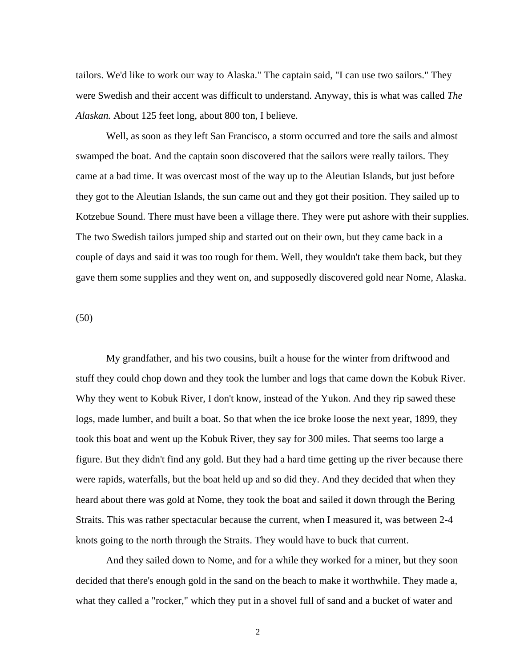tailors. We'd like to work our way to Alaska." The captain said, "I can use two sailors." They were Swedish and their accent was difficult to understand. Anyway, this is what was called *The Alaskan.* About 125 feet long, about 800 ton, I believe.

 Well, as soon as they left San Francisco, a storm occurred and tore the sails and almost swamped the boat. And the captain soon discovered that the sailors were really tailors. They came at a bad time. It was overcast most of the way up to the Aleutian Islands, but just before they got to the Aleutian Islands, the sun came out and they got their position. They sailed up to Kotzebue Sound. There must have been a village there. They were put ashore with their supplies. The two Swedish tailors jumped ship and started out on their own, but they came back in a couple of days and said it was too rough for them. Well, they wouldn't take them back, but they gave them some supplies and they went on, and supposedly discovered gold near Nome, Alaska.

(50)

 My grandfather, and his two cousins, built a house for the winter from driftwood and stuff they could chop down and they took the lumber and logs that came down the Kobuk River. Why they went to Kobuk River, I don't know, instead of the Yukon. And they rip sawed these logs, made lumber, and built a boat. So that when the ice broke loose the next year, 1899, they took this boat and went up the Kobuk River, they say for 300 miles. That seems too large a figure. But they didn't find any gold. But they had a hard time getting up the river because there were rapids, waterfalls, but the boat held up and so did they. And they decided that when they heard about there was gold at Nome, they took the boat and sailed it down through the Bering Straits. This was rather spectacular because the current, when I measured it, was between 2-4 knots going to the north through the Straits. They would have to buck that current.

 And they sailed down to Nome, and for a while they worked for a miner, but they soon decided that there's enough gold in the sand on the beach to make it worthwhile. They made a, what they called a "rocker," which they put in a shovel full of sand and a bucket of water and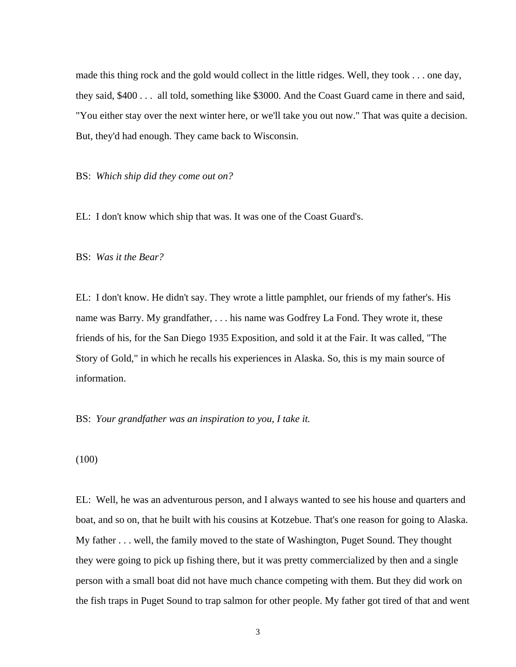made this thing rock and the gold would collect in the little ridges. Well, they took . . . one day, they said, \$400 . . . all told, something like \$3000. And the Coast Guard came in there and said, "You either stay over the next winter here, or we'll take you out now." That was quite a decision. But, they'd had enough. They came back to Wisconsin.

BS: *Which ship did they come out on?* 

EL: I don't know which ship that was. It was one of the Coast Guard's.

BS: *Was it the Bear?* 

EL: I don't know. He didn't say. They wrote a little pamphlet, our friends of my father's. His name was Barry. My grandfather, . . . his name was Godfrey La Fond. They wrote it, these friends of his, for the San Diego 1935 Exposition, and sold it at the Fair. It was called, "The Story of Gold," in which he recalls his experiences in Alaska. So, this is my main source of information.

BS: *Your grandfather was an inspiration to you, I take it.* 

(100)

EL: Well, he was an adventurous person, and I always wanted to see his house and quarters and boat, and so on, that he built with his cousins at Kotzebue. That's one reason for going to Alaska. My father . . . well, the family moved to the state of Washington, Puget Sound. They thought they were going to pick up fishing there, but it was pretty commercialized by then and a single person with a small boat did not have much chance competing with them. But they did work on the fish traps in Puget Sound to trap salmon for other people. My father got tired of that and went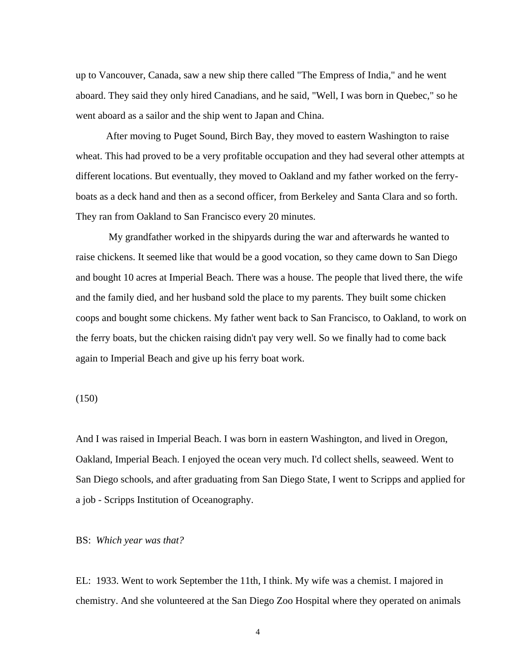up to Vancouver, Canada, saw a new ship there called "The Empress of India," and he went aboard. They said they only hired Canadians, and he said, "Well, I was born in Quebec," so he went aboard as a sailor and the ship went to Japan and China.

 After moving to Puget Sound, Birch Bay, they moved to eastern Washington to raise wheat. This had proved to be a very profitable occupation and they had several other attempts at different locations. But eventually, they moved to Oakland and my father worked on the ferryboats as a deck hand and then as a second officer, from Berkeley and Santa Clara and so forth. They ran from Oakland to San Francisco every 20 minutes.

 My grandfather worked in the shipyards during the war and afterwards he wanted to raise chickens. It seemed like that would be a good vocation, so they came down to San Diego and bought 10 acres at Imperial Beach. There was a house. The people that lived there, the wife and the family died, and her husband sold the place to my parents. They built some chicken coops and bought some chickens. My father went back to San Francisco, to Oakland, to work on the ferry boats, but the chicken raising didn't pay very well. So we finally had to come back again to Imperial Beach and give up his ferry boat work.

(150)

And I was raised in Imperial Beach. I was born in eastern Washington, and lived in Oregon, Oakland, Imperial Beach. I enjoyed the ocean very much. I'd collect shells, seaweed. Went to San Diego schools, and after graduating from San Diego State, I went to Scripps and applied for a job - Scripps Institution of Oceanography.

#### BS: *Which year was that?*

EL: 1933. Went to work September the 11th, I think. My wife was a chemist. I majored in chemistry. And she volunteered at the San Diego Zoo Hospital where they operated on animals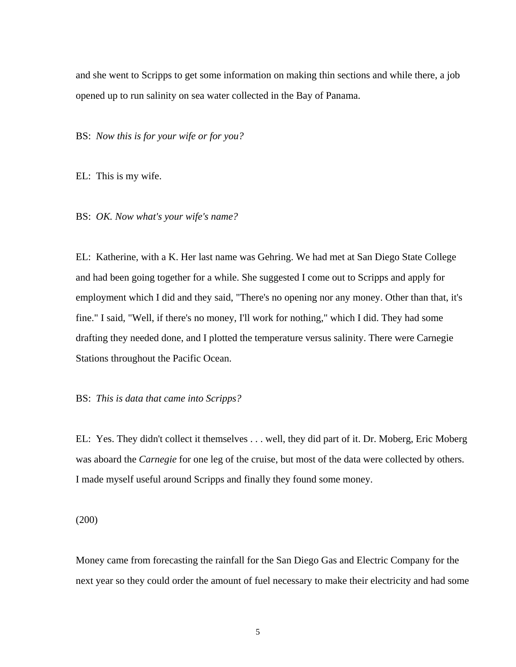and she went to Scripps to get some information on making thin sections and while there, a job opened up to run salinity on sea water collected in the Bay of Panama.

BS: *Now this is for your wife or for you?* 

EL: This is my wife.

BS: *OK. Now what's your wife's name?* 

EL: Katherine, with a K. Her last name was Gehring. We had met at San Diego State College and had been going together for a while. She suggested I come out to Scripps and apply for employment which I did and they said, "There's no opening nor any money. Other than that, it's fine." I said, "Well, if there's no money, I'll work for nothing," which I did. They had some drafting they needed done, and I plotted the temperature versus salinity. There were Carnegie Stations throughout the Pacific Ocean.

### BS: *This is data that came into Scripps?*

EL: Yes. They didn't collect it themselves . . . well, they did part of it. Dr. Moberg, Eric Moberg was aboard the *Carnegie* for one leg of the cruise, but most of the data were collected by others. I made myself useful around Scripps and finally they found some money.

(200)

Money came from forecasting the rainfall for the San Diego Gas and Electric Company for the next year so they could order the amount of fuel necessary to make their electricity and had some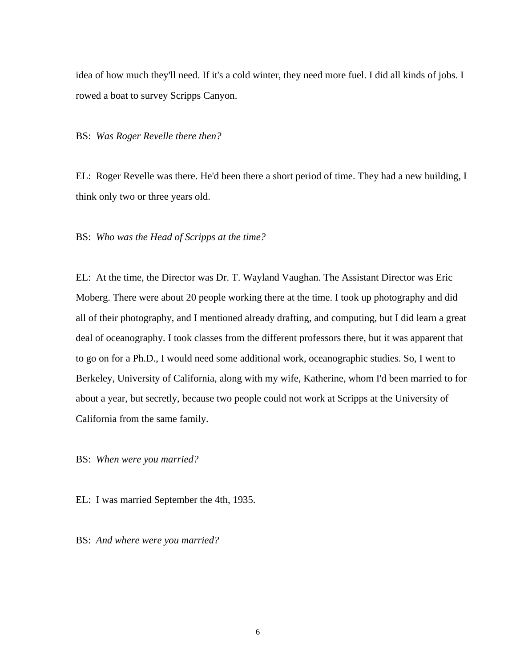idea of how much they'll need. If it's a cold winter, they need more fuel. I did all kinds of jobs. I rowed a boat to survey Scripps Canyon.

BS: *Was Roger Revelle there then?* 

EL: Roger Revelle was there. He'd been there a short period of time. They had a new building, I think only two or three years old.

BS: *Who was the Head of Scripps at the time?* 

EL: At the time, the Director was Dr. T. Wayland Vaughan. The Assistant Director was Eric Moberg. There were about 20 people working there at the time. I took up photography and did all of their photography, and I mentioned already drafting, and computing, but I did learn a great deal of oceanography. I took classes from the different professors there, but it was apparent that to go on for a Ph.D., I would need some additional work, oceanographic studies. So, I went to Berkeley, University of California, along with my wife, Katherine, whom I'd been married to for about a year, but secretly, because two people could not work at Scripps at the University of California from the same family.

BS: *When were you married?*

EL: I was married September the 4th, 1935.

BS: *And where were you married?*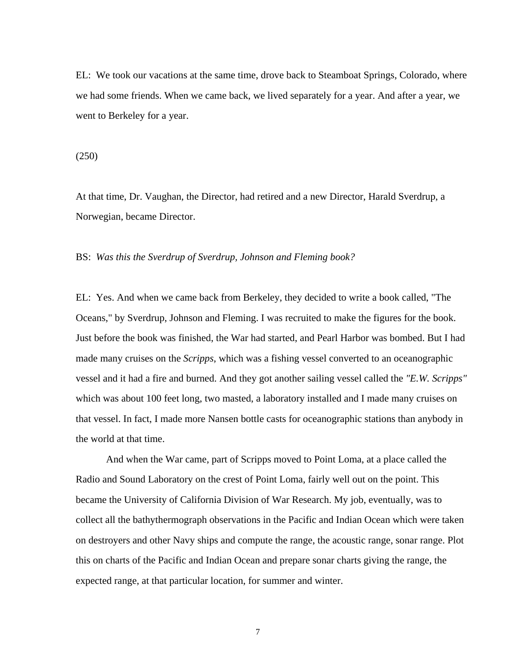EL: We took our vacations at the same time, drove back to Steamboat Springs, Colorado, where we had some friends. When we came back, we lived separately for a year. And after a year, we went to Berkeley for a year.

(250)

At that time, Dr. Vaughan, the Director, had retired and a new Director, Harald Sverdrup, a Norwegian, became Director.

BS: *Was this the Sverdrup of Sverdrup, Johnson and Fleming book?* 

EL: Yes. And when we came back from Berkeley, they decided to write a book called, "The Oceans," by Sverdrup, Johnson and Fleming. I was recruited to make the figures for the book. Just before the book was finished, the War had started, and Pearl Harbor was bombed. But I had made many cruises on the *Scripps*, which was a fishing vessel converted to an oceanographic vessel and it had a fire and burned. And they got another sailing vessel called the *"E.W. Scripps"*  which was about 100 feet long, two masted, a laboratory installed and I made many cruises on that vessel. In fact, I made more Nansen bottle casts for oceanographic stations than anybody in the world at that time.

 And when the War came, part of Scripps moved to Point Loma, at a place called the Radio and Sound Laboratory on the crest of Point Loma, fairly well out on the point. This became the University of California Division of War Research. My job, eventually, was to collect all the bathythermograph observations in the Pacific and Indian Ocean which were taken on destroyers and other Navy ships and compute the range, the acoustic range, sonar range. Plot this on charts of the Pacific and Indian Ocean and prepare sonar charts giving the range, the expected range, at that particular location, for summer and winter.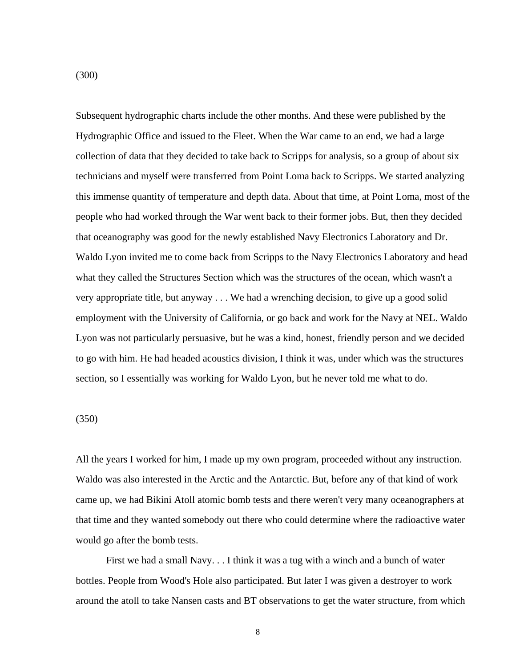Subsequent hydrographic charts include the other months. And these were published by the Hydrographic Office and issued to the Fleet. When the War came to an end, we had a large collection of data that they decided to take back to Scripps for analysis, so a group of about six technicians and myself were transferred from Point Loma back to Scripps. We started analyzing this immense quantity of temperature and depth data. About that time, at Point Loma, most of the people who had worked through the War went back to their former jobs. But, then they decided that oceanography was good for the newly established Navy Electronics Laboratory and Dr. Waldo Lyon invited me to come back from Scripps to the Navy Electronics Laboratory and head what they called the Structures Section which was the structures of the ocean, which wasn't a very appropriate title, but anyway . . . We had a wrenching decision, to give up a good solid employment with the University of California, or go back and work for the Navy at NEL. Waldo Lyon was not particularly persuasive, but he was a kind, honest, friendly person and we decided to go with him. He had headed acoustics division, I think it was, under which was the structures section, so I essentially was working for Waldo Lyon, but he never told me what to do.

### (350)

All the years I worked for him, I made up my own program, proceeded without any instruction. Waldo was also interested in the Arctic and the Antarctic. But, before any of that kind of work came up, we had Bikini Atoll atomic bomb tests and there weren't very many oceanographers at that time and they wanted somebody out there who could determine where the radioactive water would go after the bomb tests.

 First we had a small Navy. . . I think it was a tug with a winch and a bunch of water bottles. People from Wood's Hole also participated. But later I was given a destroyer to work around the atoll to take Nansen casts and BT observations to get the water structure, from which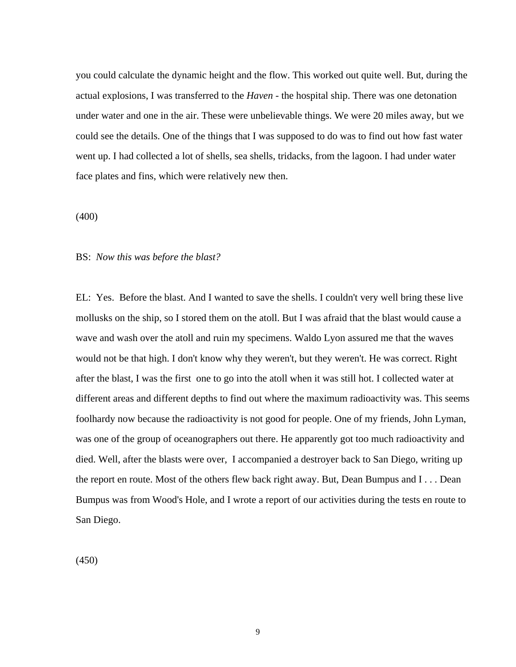you could calculate the dynamic height and the flow. This worked out quite well. But, during the actual explosions, I was transferred to the *Haven* - the hospital ship. There was one detonation under water and one in the air. These were unbelievable things. We were 20 miles away, but we could see the details. One of the things that I was supposed to do was to find out how fast water went up. I had collected a lot of shells, sea shells, tridacks, from the lagoon. I had under water face plates and fins, which were relatively new then.

(400)

### BS: *Now this was before the blast?*

EL: Yes. Before the blast. And I wanted to save the shells. I couldn't very well bring these live mollusks on the ship, so I stored them on the atoll. But I was afraid that the blast would cause a wave and wash over the atoll and ruin my specimens. Waldo Lyon assured me that the waves would not be that high. I don't know why they weren't, but they weren't. He was correct. Right after the blast, I was the first one to go into the atoll when it was still hot. I collected water at different areas and different depths to find out where the maximum radioactivity was. This seems foolhardy now because the radioactivity is not good for people. One of my friends, John Lyman, was one of the group of oceanographers out there. He apparently got too much radioactivity and died. Well, after the blasts were over, I accompanied a destroyer back to San Diego, writing up the report en route. Most of the others flew back right away. But, Dean Bumpus and I . . . Dean Bumpus was from Wood's Hole, and I wrote a report of our activities during the tests en route to San Diego.

(450)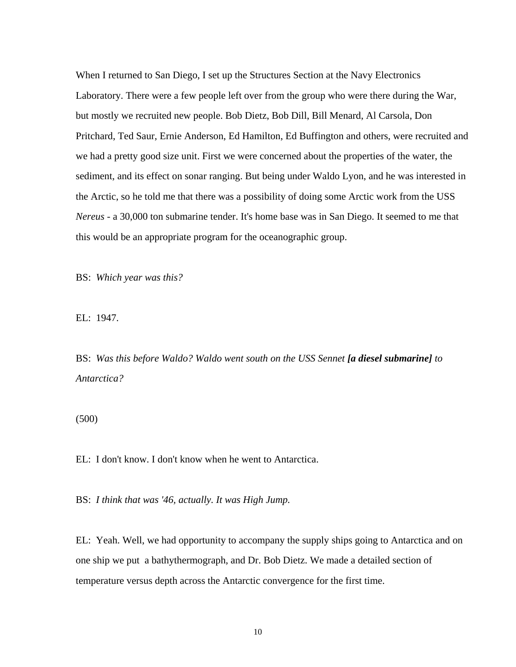When I returned to San Diego, I set up the Structures Section at the Navy Electronics Laboratory. There were a few people left over from the group who were there during the War, but mostly we recruited new people. Bob Dietz, Bob Dill, Bill Menard, Al Carsola, Don Pritchard, Ted Saur, Ernie Anderson, Ed Hamilton, Ed Buffington and others, were recruited and we had a pretty good size unit. First we were concerned about the properties of the water, the sediment, and its effect on sonar ranging. But being under Waldo Lyon, and he was interested in the Arctic, so he told me that there was a possibility of doing some Arctic work from the USS *Nereus* - a 30,000 ton submarine tender. It's home base was in San Diego. It seemed to me that this would be an appropriate program for the oceanographic group.

BS: *Which year was this?* 

EL: 1947.

BS: *Was this before Waldo? Waldo went south on the USS Sennet [a diesel submarine] to Antarctica?* 

(500)

EL: I don't know. I don't know when he went to Antarctica.

BS: *I think that was '46, actually. It was High Jump.* 

EL: Yeah. Well, we had opportunity to accompany the supply ships going to Antarctica and on one ship we put a bathythermograph, and Dr. Bob Dietz. We made a detailed section of temperature versus depth across the Antarctic convergence for the first time.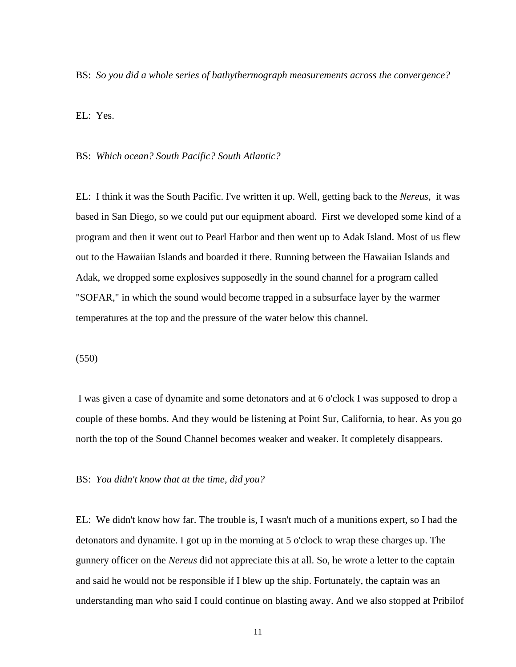BS: *So you did a whole series of bathythermograph measurements across the convergence?* 

EL: Yes.

BS: *Which ocean? South Pacific? South Atlantic?* 

EL: I think it was the South Pacific. I've written it up. Well, getting back to the *Nereus*, it was based in San Diego, so we could put our equipment aboard. First we developed some kind of a program and then it went out to Pearl Harbor and then went up to Adak Island. Most of us flew out to the Hawaiian Islands and boarded it there. Running between the Hawaiian Islands and Adak, we dropped some explosives supposedly in the sound channel for a program called "SOFAR," in which the sound would become trapped in a subsurface layer by the warmer temperatures at the top and the pressure of the water below this channel.

(550)

 I was given a case of dynamite and some detonators and at 6 o'clock I was supposed to drop a couple of these bombs. And they would be listening at Point Sur, California, to hear. As you go north the top of the Sound Channel becomes weaker and weaker. It completely disappears.

BS: *You didn't know that at the time, did you?*

EL: We didn't know how far. The trouble is, I wasn't much of a munitions expert, so I had the detonators and dynamite. I got up in the morning at 5 o'clock to wrap these charges up. The gunnery officer on the *Nereus* did not appreciate this at all. So, he wrote a letter to the captain and said he would not be responsible if I blew up the ship. Fortunately, the captain was an understanding man who said I could continue on blasting away. And we also stopped at Pribilof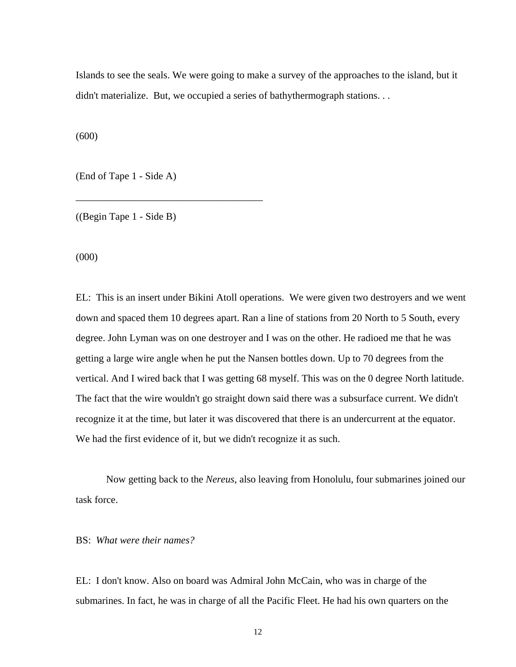Islands to see the seals. We were going to make a survey of the approaches to the island, but it didn't materialize. But, we occupied a series of bathythermograph stations...

(600)

(End of Tape 1 - Side A)

\_\_\_\_\_\_\_\_\_\_\_\_\_\_\_\_\_\_\_\_\_\_\_\_\_\_\_\_\_\_\_\_\_\_\_\_\_

((Begin Tape 1 - Side B)

(000)

EL: This is an insert under Bikini Atoll operations. We were given two destroyers and we went down and spaced them 10 degrees apart. Ran a line of stations from 20 North to 5 South, every degree. John Lyman was on one destroyer and I was on the other. He radioed me that he was getting a large wire angle when he put the Nansen bottles down. Up to 70 degrees from the vertical. And I wired back that I was getting 68 myself. This was on the 0 degree North latitude. The fact that the wire wouldn't go straight down said there was a subsurface current. We didn't recognize it at the time, but later it was discovered that there is an undercurrent at the equator. We had the first evidence of it, but we didn't recognize it as such.

 Now getting back to the *Nereus*, also leaving from Honolulu, four submarines joined our task force.

BS: *What were their names?* 

EL: I don't know. Also on board was Admiral John McCain, who was in charge of the submarines. In fact, he was in charge of all the Pacific Fleet. He had his own quarters on the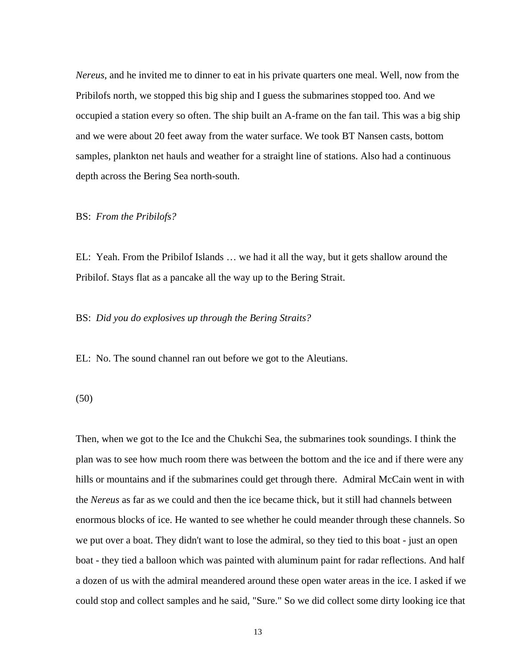*Nereus*, and he invited me to dinner to eat in his private quarters one meal. Well, now from the Pribilofs north, we stopped this big ship and I guess the submarines stopped too. And we occupied a station every so often. The ship built an A-frame on the fan tail. This was a big ship and we were about 20 feet away from the water surface. We took BT Nansen casts, bottom samples, plankton net hauls and weather for a straight line of stations. Also had a continuous depth across the Bering Sea north-south.

BS: *From the Pribilofs?* 

EL: Yeah. From the Pribilof Islands … we had it all the way, but it gets shallow around the Pribilof. Stays flat as a pancake all the way up to the Bering Strait.

BS: *Did you do explosives up through the Bering Straits?* 

EL: No. The sound channel ran out before we got to the Aleutians.

(50)

Then, when we got to the Ice and the Chukchi Sea, the submarines took soundings. I think the plan was to see how much room there was between the bottom and the ice and if there were any hills or mountains and if the submarines could get through there. Admiral McCain went in with the *Nereus* as far as we could and then the ice became thick, but it still had channels between enormous blocks of ice. He wanted to see whether he could meander through these channels. So we put over a boat. They didn't want to lose the admiral, so they tied to this boat - just an open boat - they tied a balloon which was painted with aluminum paint for radar reflections. And half a dozen of us with the admiral meandered around these open water areas in the ice. I asked if we could stop and collect samples and he said, "Sure." So we did collect some dirty looking ice that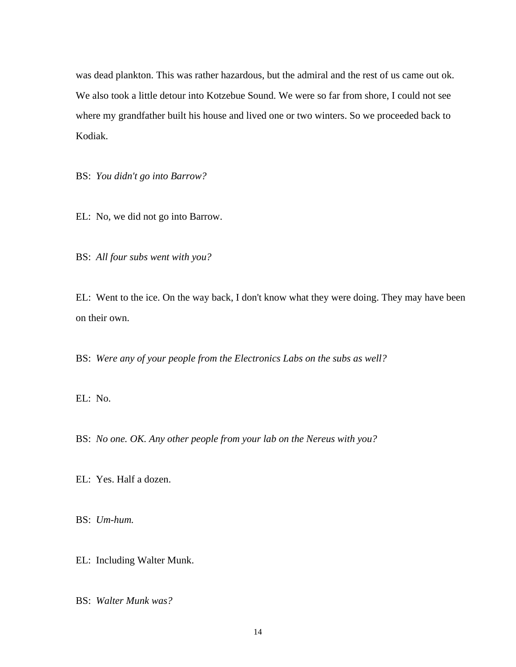was dead plankton. This was rather hazardous, but the admiral and the rest of us came out ok. We also took a little detour into Kotzebue Sound. We were so far from shore, I could not see where my grandfather built his house and lived one or two winters. So we proceeded back to Kodiak.

BS: *You didn't go into Barrow?* 

EL: No, we did not go into Barrow.

BS: *All four subs went with you?* 

EL: Went to the ice. On the way back, I don't know what they were doing. They may have been on their own.

BS: *Were any of your people from the Electronics Labs on the subs as well?* 

EL: No.

BS: *No one. OK. Any other people from your lab on the Nereus with you?* 

EL: Yes. Half a dozen.

BS: *Um-hum.*

EL: Including Walter Munk.

BS: *Walter Munk was?*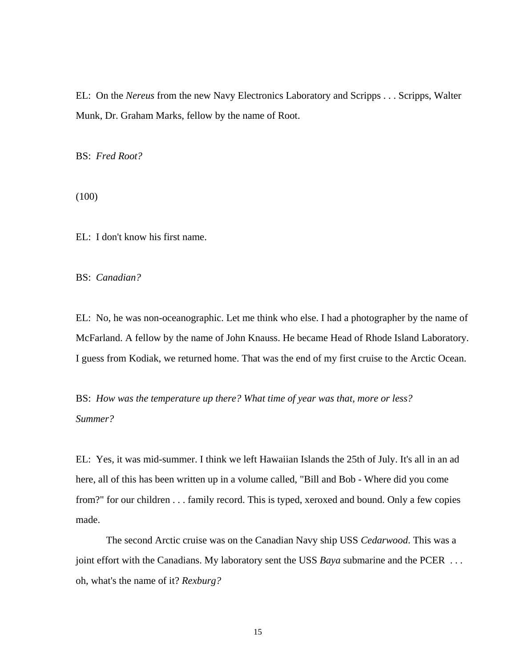EL: On the *Nereus* from the new Navy Electronics Laboratory and Scripps . . . Scripps, Walter Munk, Dr. Graham Marks, fellow by the name of Root.

BS: *Fred Root?* 

(100)

EL: I don't know his first name.

BS: *Canadian?* 

EL: No, he was non-oceanographic. Let me think who else. I had a photographer by the name of McFarland. A fellow by the name of John Knauss. He became Head of Rhode Island Laboratory. I guess from Kodiak, we returned home. That was the end of my first cruise to the Arctic Ocean.

BS: *How was the temperature up there? What time of year was that, more or less? Summer?* 

EL: Yes, it was mid-summer. I think we left Hawaiian Islands the 25th of July. It's all in an ad here, all of this has been written up in a volume called, "Bill and Bob - Where did you come from?" for our children . . . family record. This is typed, xeroxed and bound. Only a few copies made.

 The second Arctic cruise was on the Canadian Navy ship USS *Cedarwood*. This was a joint effort with the Canadians. My laboratory sent the USS *Baya* submarine and the PCER . . . oh, what's the name of it? *Rexburg?*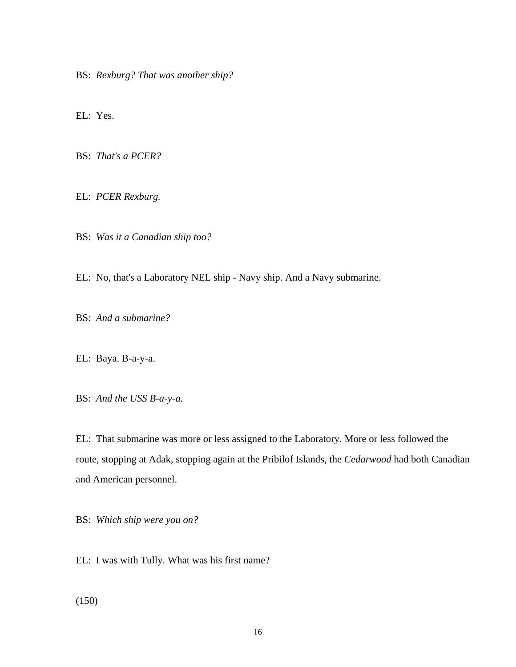BS: *Rexburg? That was another ship?* 

EL: Yes.

BS: *That's a PCER?* 

EL: *PCER Rexburg.* 

BS: *Was it a Canadian ship too?* 

EL: No, that's a Laboratory NEL ship - Navy ship. And a Navy submarine.

BS: *And a submarine?* 

EL: Baya. B-a-y-a.

BS: *And the USS B-a-y-a.* 

EL: That submarine was more or less assigned to the Laboratory. More or less followed the route, stopping at Adak, stopping again at the Pribilof Islands, the *Cedarwood* had both Canadian and American personnel.

BS: *Which ship were you on?* 

EL: I was with Tully. What was his first name?

(150)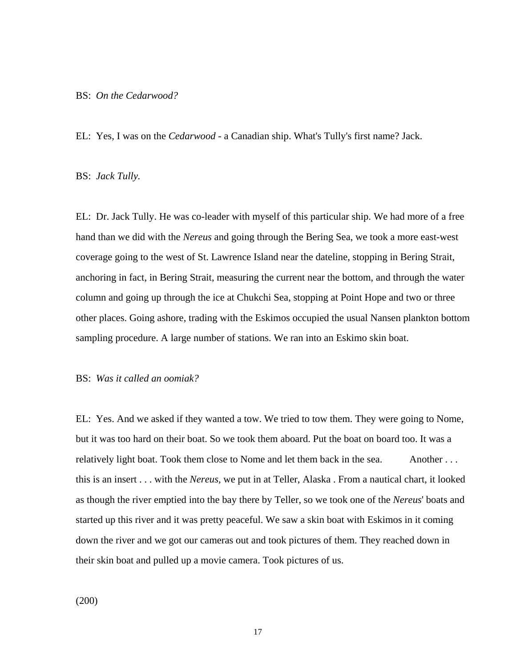#### BS: *On the Cedarwood?*

EL: Yes, I was on the *Cedarwood* - a Canadian ship. What's Tully's first name? Jack.

#### BS: *Jack Tully.*

EL: Dr. Jack Tully. He was co-leader with myself of this particular ship. We had more of a free hand than we did with the *Nereus* and going through the Bering Sea, we took a more east-west coverage going to the west of St. Lawrence Island near the dateline, stopping in Bering Strait, anchoring in fact, in Bering Strait, measuring the current near the bottom, and through the water column and going up through the ice at Chukchi Sea, stopping at Point Hope and two or three other places. Going ashore, trading with the Eskimos occupied the usual Nansen plankton bottom sampling procedure. A large number of stations. We ran into an Eskimo skin boat.

### BS: *Was it called an oomiak?*

EL: Yes. And we asked if they wanted a tow. We tried to tow them. They were going to Nome, but it was too hard on their boat. So we took them aboard. Put the boat on board too. It was a relatively light boat. Took them close to Nome and let them back in the sea. Another ... this is an insert . . . with the *Nereus,* we put in at Teller, Alaska . From a nautical chart, it looked as though the river emptied into the bay there by Teller, so we took one of the *Nereus*' boats and started up this river and it was pretty peaceful. We saw a skin boat with Eskimos in it coming down the river and we got our cameras out and took pictures of them. They reached down in their skin boat and pulled up a movie camera. Took pictures of us.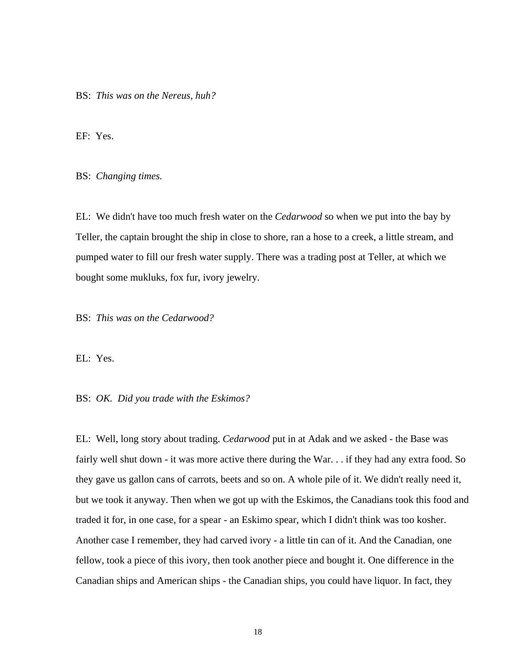BS: *This was on the Nereus, huh?* 

EF: Yes.

BS: *Changing times.* 

EL: We didn't have too much fresh water on the *Cedarwood* so when we put into the bay by Teller, the captain brought the ship in close to shore, ran a hose to a creek, a little stream, and pumped water to fill our fresh water supply. There was a trading post at Teller, at which we bought some mukluks, fox fur, ivory jewelry.

BS: *This was on the Cedarwood?* 

EL: Yes.

#### BS: *OK. Did you trade with the Eskimos?*

EL: Well, long story about trading. *Cedarwood* put in at Adak and we asked - the Base was fairly well shut down - it was more active there during the War. . . if they had any extra food. So they gave us gallon cans of carrots, beets and so on. A whole pile of it. We didn't really need it, but we took it anyway. Then when we got up with the Eskimos, the Canadians took this food and traded it for, in one case, for a spear - an Eskimo spear, which I didn't think was too kosher. Another case I remember, they had carved ivory - a little tin can of it. And the Canadian, one fellow, took a piece of this ivory, then took another piece and bought it. One difference in the Canadian ships and American ships - the Canadian ships, you could have liquor. In fact, they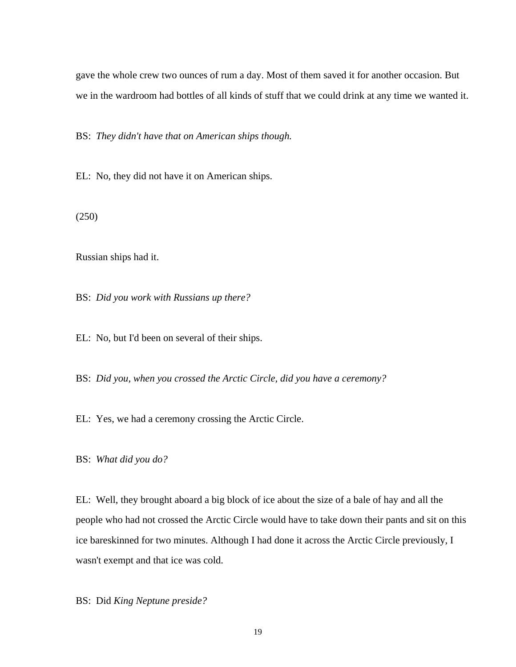gave the whole crew two ounces of rum a day. Most of them saved it for another occasion. But we in the wardroom had bottles of all kinds of stuff that we could drink at any time we wanted it.

BS: *They didn't have that on American ships though.* 

EL: No, they did not have it on American ships.

(250)

Russian ships had it.

BS: *Did you work with Russians up there?* 

EL: No, but I'd been on several of their ships.

BS: *Did you, when you crossed the Arctic Circle, did you have a ceremony?* 

EL: Yes, we had a ceremony crossing the Arctic Circle.

BS: *What did you do?* 

EL: Well, they brought aboard a big block of ice about the size of a bale of hay and all the people who had not crossed the Arctic Circle would have to take down their pants and sit on this ice bareskinned for two minutes. Although I had done it across the Arctic Circle previously, I wasn't exempt and that ice was cold.

BS: Did *King Neptune preside?*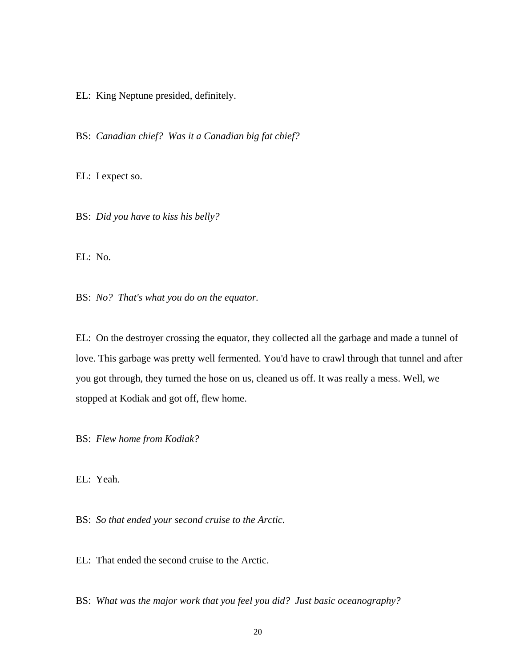EL: King Neptune presided, definitely.

BS: *Canadian chief? Was it a Canadian big fat chief?* 

EL: I expect so.

BS: *Did you have to kiss his belly?* 

EL: No.

BS: *No? That's what you do on the equator.*

EL: On the destroyer crossing the equator, they collected all the garbage and made a tunnel of love. This garbage was pretty well fermented. You'd have to crawl through that tunnel and after you got through, they turned the hose on us, cleaned us off. It was really a mess. Well, we stopped at Kodiak and got off, flew home.

BS: *Flew home from Kodiak?* 

EL: Yeah.

BS: *So that ended your second cruise to the Arctic.* 

EL: That ended the second cruise to the Arctic.

BS: *What was the major work that you feel you did? Just basic oceanography?*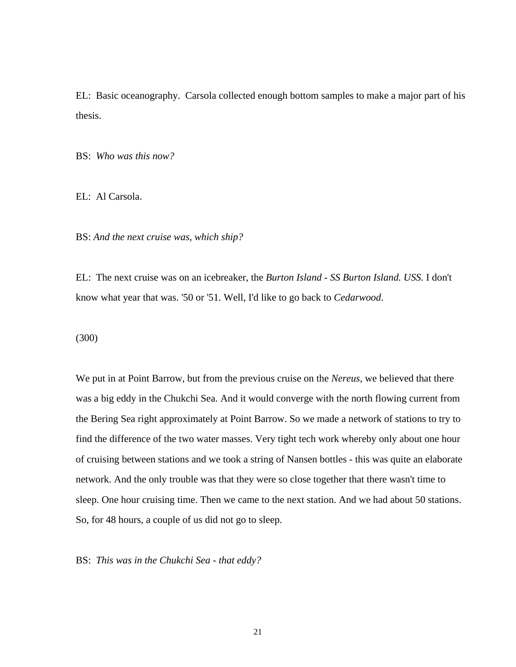EL: Basic oceanography. Carsola collected enough bottom samples to make a major part of his thesis.

BS: *Who was this now?* 

EL: Al Carsola.

BS: *And the next cruise was, which ship?* 

EL: The next cruise was on an icebreaker, the *Burton Island - SS Burton Island. USS.* I don't know what year that was. '50 or '51. Well, I'd like to go back to *Cedarwood*.

(300)

We put in at Point Barrow, but from the previous cruise on the *Nereus*, we believed that there was a big eddy in the Chukchi Sea. And it would converge with the north flowing current from the Bering Sea right approximately at Point Barrow. So we made a network of stations to try to find the difference of the two water masses. Very tight tech work whereby only about one hour of cruising between stations and we took a string of Nansen bottles - this was quite an elaborate network. And the only trouble was that they were so close together that there wasn't time to sleep. One hour cruising time. Then we came to the next station. And we had about 50 stations. So, for 48 hours, a couple of us did not go to sleep.

BS: *This was in the Chukchi Sea - that eddy?*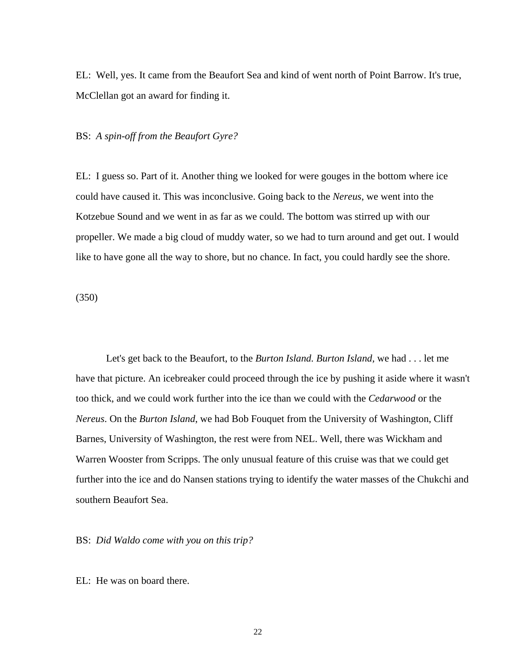EL: Well, yes. It came from the Beaufort Sea and kind of went north of Point Barrow. It's true, McClellan got an award for finding it.

### BS: *A spin-off from the Beaufort Gyre?*

EL: I guess so. Part of it. Another thing we looked for were gouges in the bottom where ice could have caused it. This was inconclusive. Going back to the *Nereus*, we went into the Kotzebue Sound and we went in as far as we could. The bottom was stirred up with our propeller. We made a big cloud of muddy water, so we had to turn around and get out. I would like to have gone all the way to shore, but no chance. In fact, you could hardly see the shore.

(350)

 Let's get back to the Beaufort, to the *Burton Island. Burton Island,* we had . . . let me have that picture. An icebreaker could proceed through the ice by pushing it aside where it wasn't too thick, and we could work further into the ice than we could with the *Cedarwood* or the *Nereus*. On the *Burton Island*, we had Bob Fouquet from the University of Washington, Cliff Barnes, University of Washington, the rest were from NEL. Well, there was Wickham and Warren Wooster from Scripps. The only unusual feature of this cruise was that we could get further into the ice and do Nansen stations trying to identify the water masses of the Chukchi and southern Beaufort Sea.

BS: *Did Waldo come with you on this trip?*

EL: He was on board there.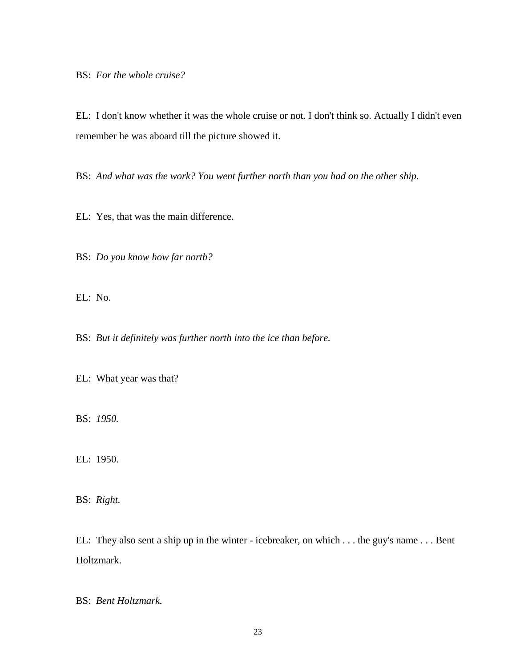BS: *For the whole cruise?* 

EL: I don't know whether it was the whole cruise or not. I don't think so. Actually I didn't even remember he was aboard till the picture showed it.

BS: And what was the work? You went further north than you had on the other ship.

EL: Yes, that was the main difference.

BS: *Do you know how far north?* 

EL: No.

BS: *But it definitely was further north into the ice than before.* 

EL: What year was that?

BS: *1950.* 

EL: 1950.

BS: *Right.* 

EL: They also sent a ship up in the winter - icebreaker, on which . . . the guy's name . . . Bent Holtzmark.

BS: *Bent Holtzmark.*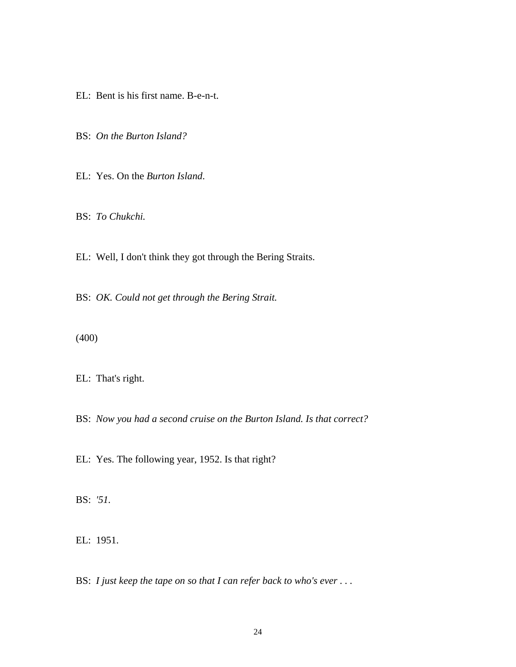EL: Bent is his first name. B-e-n-t.

BS: *On the Burton Island?* 

EL: Yes. On the *Burton Island*.

BS: *To Chukchi.* 

EL: Well, I don't think they got through the Bering Straits.

BS: *OK. Could not get through the Bering Strait.* 

(400)

EL: That's right.

BS: *Now you had a second cruise on the Burton Island. Is that correct?* 

EL: Yes. The following year, 1952. Is that right?

BS: *'51.* 

EL: 1951.

BS: *I just keep the tape on so that I can refer back to who's ever* ...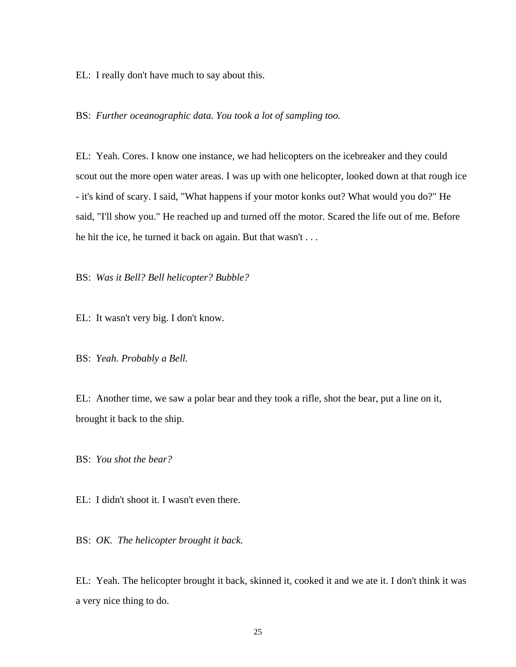EL: I really don't have much to say about this.

BS: *Further oceanographic data. You took a lot of sampling too.* 

EL: Yeah. Cores. I know one instance, we had helicopters on the icebreaker and they could scout out the more open water areas. I was up with one helicopter, looked down at that rough ice - it's kind of scary. I said, "What happens if your motor konks out? What would you do?" He said, "I'll show you." He reached up and turned off the motor. Scared the life out of me. Before he hit the ice, he turned it back on again. But that wasn't . . .

BS: *Was it Bell? Bell helicopter? Bubble?* 

EL: It wasn't very big. I don't know.

BS: *Yeah. Probably a Bell.* 

EL: Another time, we saw a polar bear and they took a rifle, shot the bear, put a line on it, brought it back to the ship.

BS: *You shot the bear?* 

EL: I didn't shoot it. I wasn't even there.

BS: *OK. The helicopter brought it back.* 

EL: Yeah. The helicopter brought it back, skinned it, cooked it and we ate it. I don't think it was a very nice thing to do.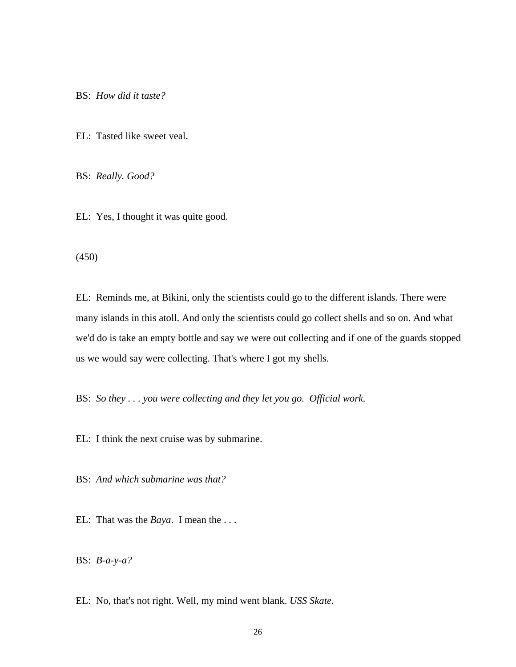BS: *How did it taste?* 

EL: Tasted like sweet veal.

BS: *Really. Good?* 

EL: Yes, I thought it was quite good.

(450)

EL: Reminds me, at Bikini, only the scientists could go to the different islands. There were many islands in this atoll. And only the scientists could go collect shells and so on. And what we'd do is take an empty bottle and say we were out collecting and if one of the guards stopped us we would say were collecting. That's where I got my shells.

BS: *So they . . . you were collecting and they let you go. Official work.* 

EL: I think the next cruise was by submarine.

BS: *And which submarine was that?* 

EL: That was the *Baya*. I mean the . . .

BS: *B-a-y-a?* 

EL: No, that's not right. Well, my mind went blank. *USS Skate.*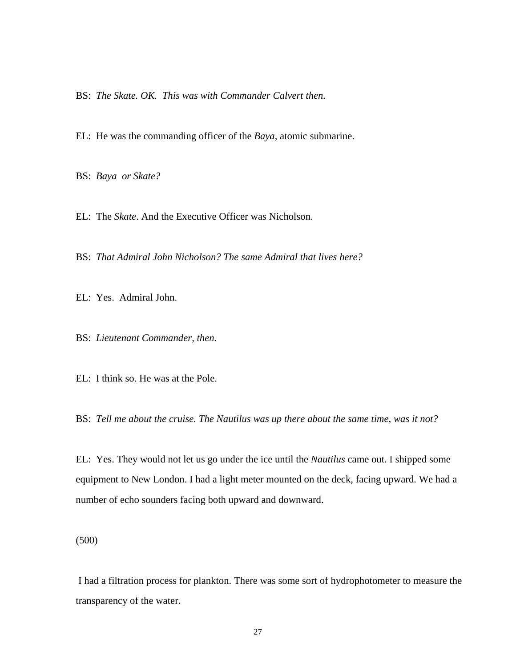BS: *The Skate. OK. This was with Commander Calvert then.* 

EL: He was the commanding officer of the *Baya*, atomic submarine.

BS: *Baya or Skate?* 

EL: The *Skate*. And the Executive Officer was Nicholson.

BS: *That Admiral John Nicholson? The same Admiral that lives here?* 

EL: Yes. Admiral John.

BS: *Lieutenant Commander, then.* 

EL: I think so. He was at the Pole.

BS: *Tell me about the cruise. The Nautilus was up there about the same time, was it not?* 

EL: Yes. They would not let us go under the ice until the *Nautilus* came out. I shipped some equipment to New London. I had a light meter mounted on the deck, facing upward. We had a number of echo sounders facing both upward and downward.

(500)

 I had a filtration process for plankton. There was some sort of hydrophotometer to measure the transparency of the water.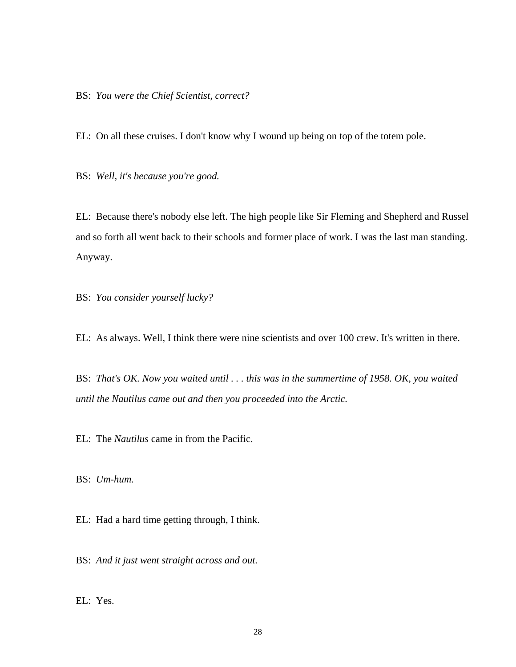BS: *You were the Chief Scientist, correct?* 

EL: On all these cruises. I don't know why I wound up being on top of the totem pole.

BS: *Well, it's because you're good.*

EL: Because there's nobody else left. The high people like Sir Fleming and Shepherd and Russel and so forth all went back to their schools and former place of work. I was the last man standing. Anyway.

BS: *You consider yourself lucky?* 

EL: As always. Well, I think there were nine scientists and over 100 crew. It's written in there.

BS: *That's OK. Now you waited until . . . this was in the summertime of 1958. OK, you waited until the Nautilus came out and then you proceeded into the Arctic.* 

EL: The *Nautilus* came in from the Pacific.

BS: *Um-hum.*

EL: Had a hard time getting through, I think.

BS: *And it just went straight across and out.* 

EL: Yes.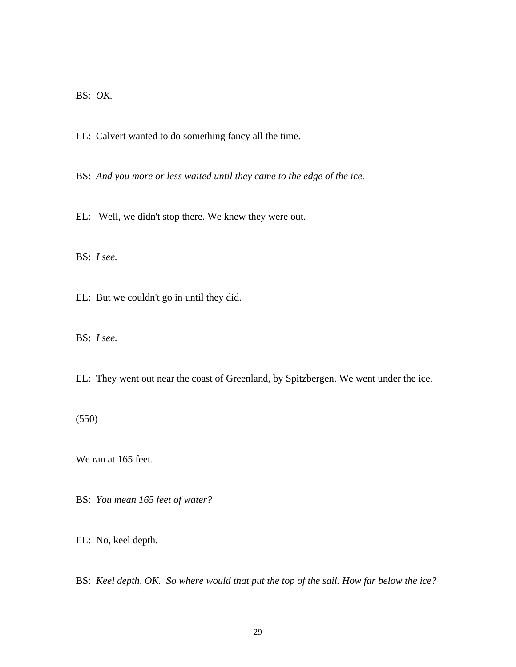BS: *OK.*

EL: Calvert wanted to do something fancy all the time.

BS: And you more or less waited until they came to the edge of the ice.

EL: Well, we didn't stop there. We knew they were out.

BS: *I see.*

EL: But we couldn't go in until they did.

BS: *I see.*

EL: They went out near the coast of Greenland, by Spitzbergen. We went under the ice.

(550)

We ran at 165 feet.

BS: *You mean 165 feet of water?* 

EL: No, keel depth.

BS: *Keel depth, OK. So where would that put the top of the sail. How far below the ice?*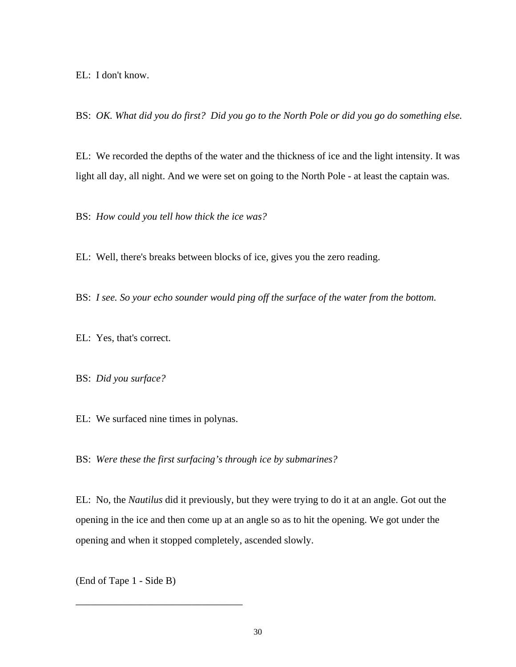EL: I don't know.

BS: *OK. What did you do first? Did you go to the North Pole or did you go do something else.* 

EL: We recorded the depths of the water and the thickness of ice and the light intensity. It was light all day, all night. And we were set on going to the North Pole - at least the captain was.

BS: *How could you tell how thick the ice was?* 

EL: Well, there's breaks between blocks of ice, gives you the zero reading.

BS: *I see. So your echo sounder would ping off the surface of the water from the bottom.* 

EL: Yes, that's correct.

BS: *Did you surface?* 

EL: We surfaced nine times in polynas.

BS: *Were these the first surfacing's through ice by submarines?* 

EL: No, the *Nautilus* did it previously, but they were trying to do it at an angle. Got out the opening in the ice and then come up at an angle so as to hit the opening. We got under the opening and when it stopped completely, ascended slowly.

(End of Tape 1 - Side B)

\_\_\_\_\_\_\_\_\_\_\_\_\_\_\_\_\_\_\_\_\_\_\_\_\_\_\_\_\_\_\_\_\_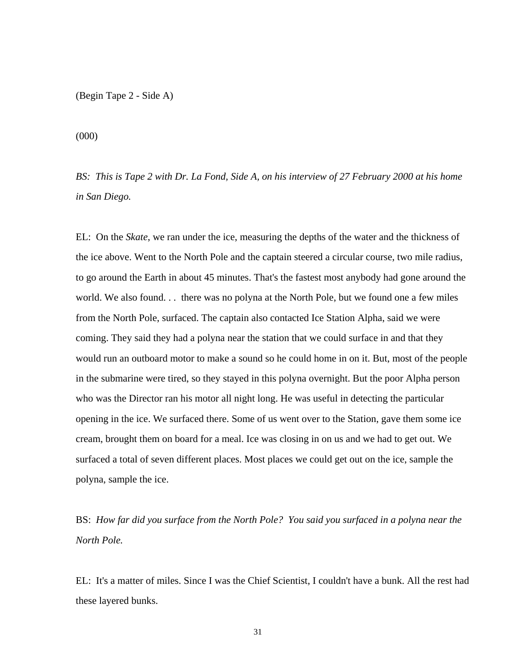(Begin Tape 2 - Side A)

(000)

*BS: This is Tape 2 with Dr. La Fond, Side A, on his interview of 27 February 2000 at his home in San Diego.* 

EL: On the *Skate*, we ran under the ice, measuring the depths of the water and the thickness of the ice above. Went to the North Pole and the captain steered a circular course, two mile radius, to go around the Earth in about 45 minutes. That's the fastest most anybody had gone around the world. We also found. . . there was no polyna at the North Pole, but we found one a few miles from the North Pole, surfaced. The captain also contacted Ice Station Alpha, said we were coming. They said they had a polyna near the station that we could surface in and that they would run an outboard motor to make a sound so he could home in on it. But, most of the people in the submarine were tired, so they stayed in this polyna overnight. But the poor Alpha person who was the Director ran his motor all night long. He was useful in detecting the particular opening in the ice. We surfaced there. Some of us went over to the Station, gave them some ice cream, brought them on board for a meal. Ice was closing in on us and we had to get out. We surfaced a total of seven different places. Most places we could get out on the ice, sample the polyna, sample the ice.

BS: *How far did you surface from the North Pole? You said you surfaced in a polyna near the North Pole.* 

EL: It's a matter of miles. Since I was the Chief Scientist, I couldn't have a bunk. All the rest had these layered bunks.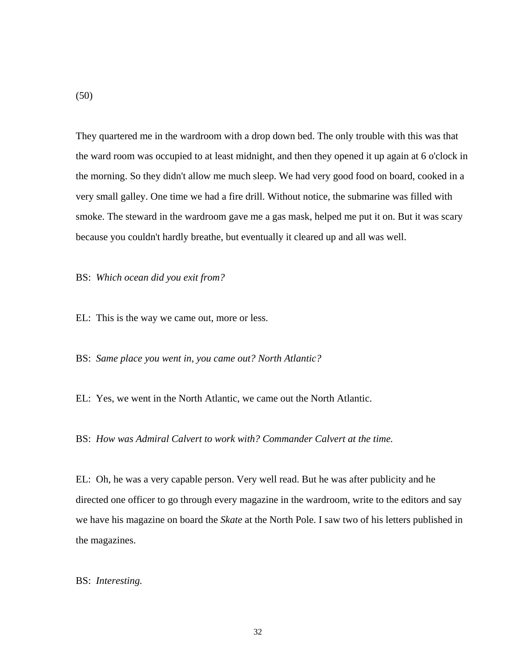They quartered me in the wardroom with a drop down bed. The only trouble with this was that the ward room was occupied to at least midnight, and then they opened it up again at 6 o'clock in the morning. So they didn't allow me much sleep. We had very good food on board, cooked in a very small galley. One time we had a fire drill. Without notice, the submarine was filled with smoke. The steward in the wardroom gave me a gas mask, helped me put it on. But it was scary because you couldn't hardly breathe, but eventually it cleared up and all was well.

BS: *Which ocean did you exit from?* 

EL: This is the way we came out, more or less.

BS: *Same place you went in, you came out? North Atlantic?*

EL: Yes, we went in the North Atlantic, we came out the North Atlantic.

BS: *How was Admiral Calvert to work with? Commander Calvert at the time.* 

EL: Oh, he was a very capable person. Very well read. But he was after publicity and he directed one officer to go through every magazine in the wardroom, write to the editors and say we have his magazine on board the *Skate* at the North Pole. I saw two of his letters published in the magazines.

BS: *Interesting.* 

(50)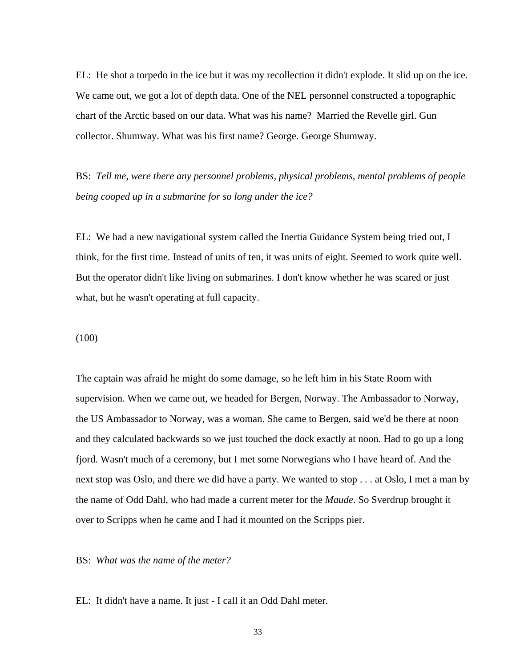EL: He shot a torpedo in the ice but it was my recollection it didn't explode. It slid up on the ice. We came out, we got a lot of depth data. One of the NEL personnel constructed a topographic chart of the Arctic based on our data. What was his name? Married the Revelle girl. Gun collector. Shumway. What was his first name? George. George Shumway.

BS: *Tell me, were there any personnel problems, physical problems, mental problems of people being cooped up in a submarine for so long under the ice?* 

EL: We had a new navigational system called the Inertia Guidance System being tried out, I think, for the first time. Instead of units of ten, it was units of eight. Seemed to work quite well. But the operator didn't like living on submarines. I don't know whether he was scared or just what, but he wasn't operating at full capacity.

(100)

The captain was afraid he might do some damage, so he left him in his State Room with supervision. When we came out, we headed for Bergen, Norway. The Ambassador to Norway, the US Ambassador to Norway, was a woman. She came to Bergen, said we'd be there at noon and they calculated backwards so we just touched the dock exactly at noon. Had to go up a long fjord. Wasn't much of a ceremony, but I met some Norwegians who I have heard of. And the next stop was Oslo, and there we did have a party. We wanted to stop . . . at Oslo, I met a man by the name of Odd Dahl, who had made a current meter for the *Maude*. So Sverdrup brought it over to Scripps when he came and I had it mounted on the Scripps pier.

BS: *What was the name of the meter?* 

EL: It didn't have a name. It just - I call it an Odd Dahl meter.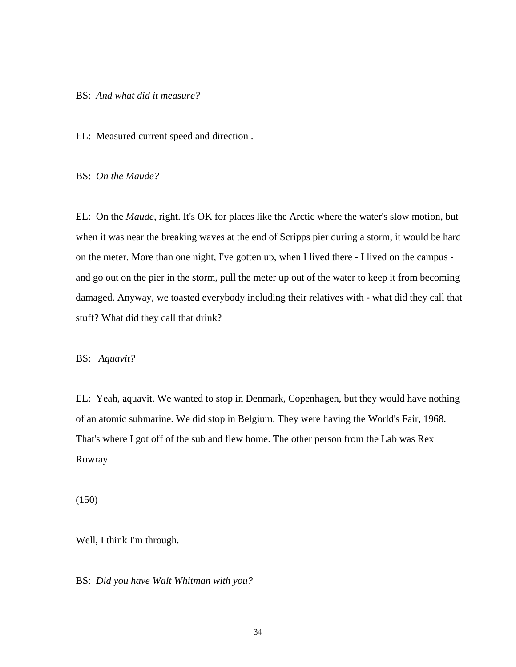### BS: *And what did it measure?*

EL: Measured current speed and direction .

BS: *On the Maude?* 

EL: On the *Maude*, right. It's OK for places like the Arctic where the water's slow motion, but when it was near the breaking waves at the end of Scripps pier during a storm, it would be hard on the meter. More than one night, I've gotten up, when I lived there - I lived on the campus and go out on the pier in the storm, pull the meter up out of the water to keep it from becoming damaged. Anyway, we toasted everybody including their relatives with - what did they call that stuff? What did they call that drink?

### BS: *Aquavit?*

EL: Yeah, aquavit. We wanted to stop in Denmark, Copenhagen, but they would have nothing of an atomic submarine. We did stop in Belgium. They were having the World's Fair, 1968. That's where I got off of the sub and flew home. The other person from the Lab was Rex Rowray.

(150)

Well, I think I'm through.

BS: *Did you have Walt Whitman with you?*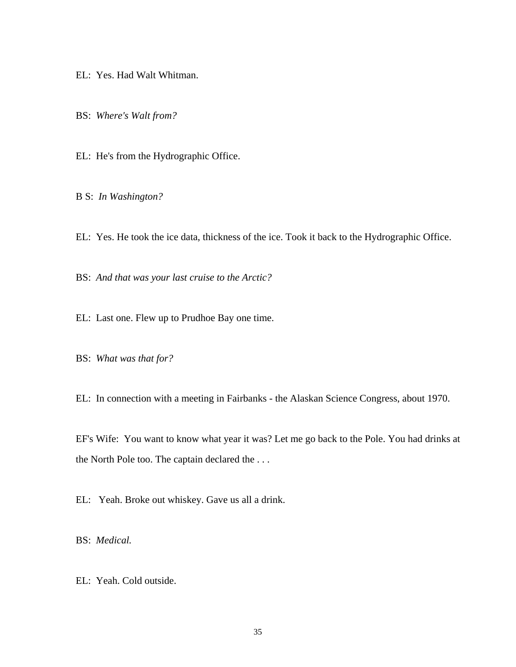EL: Yes. Had Walt Whitman.

BS: *Where's Walt from?* 

EL: He's from the Hydrographic Office.

B S: *In Washington?* 

EL: Yes. He took the ice data, thickness of the ice. Took it back to the Hydrographic Office.

BS: *And that was your last cruise to the Arctic?* 

EL: Last one. Flew up to Prudhoe Bay one time.

BS: *What was that for?* 

EL: In connection with a meeting in Fairbanks - the Alaskan Science Congress, about 1970.

EF's Wife: You want to know what year it was? Let me go back to the Pole. You had drinks at the North Pole too. The captain declared the . . .

EL: Yeah. Broke out whiskey. Gave us all a drink.

BS: *Medical.* 

EL: Yeah. Cold outside.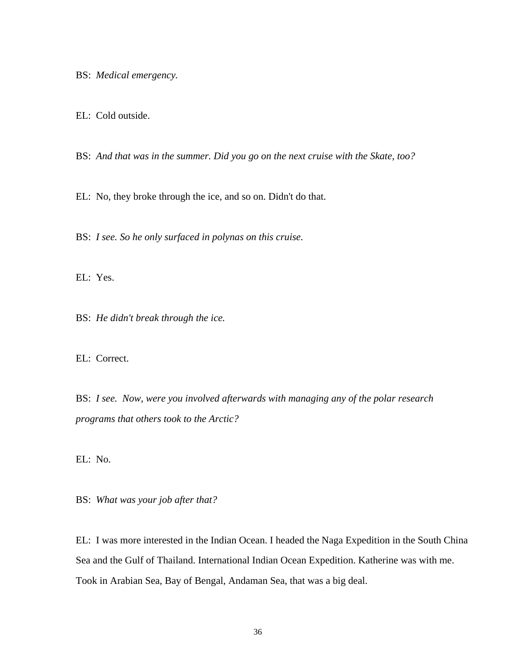BS: *Medical emergency.* 

EL: Cold outside.

BS: *And that was in the summer. Did you go on the next cruise with the Skate, too?* 

EL: No, they broke through the ice, and so on. Didn't do that.

BS: *I see. So he only surfaced in polynas on this cruise.* 

EL: Yes.

BS: *He didn't break through the ice.* 

EL: Correct.

BS: *I see. Now, were you involved afterwards with managing any of the polar research programs that others took to the Arctic?* 

EL: No.

BS: *What was your job after that?*

EL: I was more interested in the Indian Ocean. I headed the Naga Expedition in the South China Sea and the Gulf of Thailand. International Indian Ocean Expedition. Katherine was with me. Took in Arabian Sea, Bay of Bengal, Andaman Sea, that was a big deal.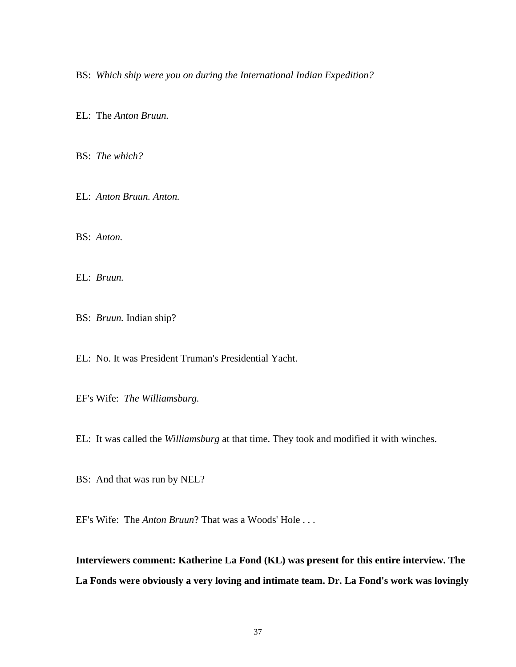BS: *Which ship were you on during the International Indian Expedition?* 

EL: The *Anton Bruun.* 

BS: *The which?* 

EL: *Anton Bruun. Anton.* 

BS: *Anton.* 

EL: *Bruun.* 

BS: *Bruun.* Indian ship?

EL: No. It was President Truman's Presidential Yacht.

EF's Wife: *The Williamsburg.* 

EL: It was called the *Williamsburg* at that time. They took and modified it with winches.

BS: And that was run by NEL?

EF's Wife: The *Anton Bruun*? That was a Woods' Hole . . .

**Interviewers comment: Katherine La Fond (KL) was present for this entire interview. The La Fonds were obviously a very loving and intimate team. Dr. La Fond's work was lovingly**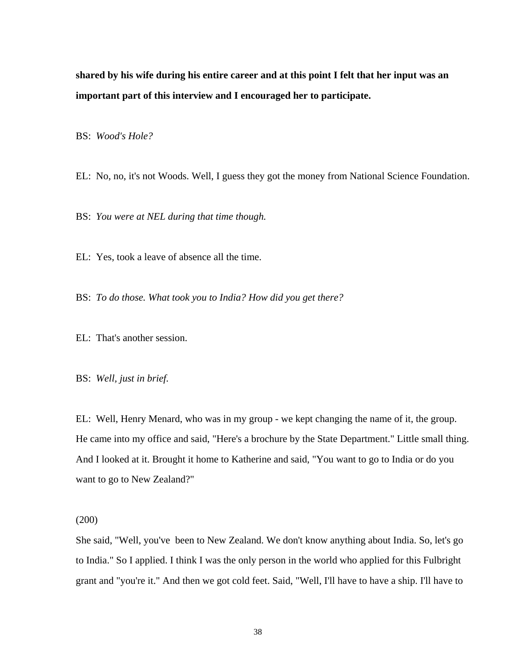**shared by his wife during his entire career and at this point I felt that her input was an important part of this interview and I encouraged her to participate.** 

BS: *Wood's Hole?*

EL: No, no, it's not Woods. Well, I guess they got the money from National Science Foundation.

BS: *You were at NEL during that time though.* 

EL: Yes, took a leave of absence all the time.

BS: *To do those. What took you to India? How did you get there?* 

EL: That's another session.

BS: *Well, just in brief.* 

EL: Well, Henry Menard, who was in my group - we kept changing the name of it, the group. He came into my office and said, "Here's a brochure by the State Department." Little small thing. And I looked at it. Brought it home to Katherine and said, "You want to go to India or do you want to go to New Zealand?"

(200)

She said, "Well, you've been to New Zealand. We don't know anything about India. So, let's go to India." So I applied. I think I was the only person in the world who applied for this Fulbright grant and "you're it." And then we got cold feet. Said, "Well, I'll have to have a ship. I'll have to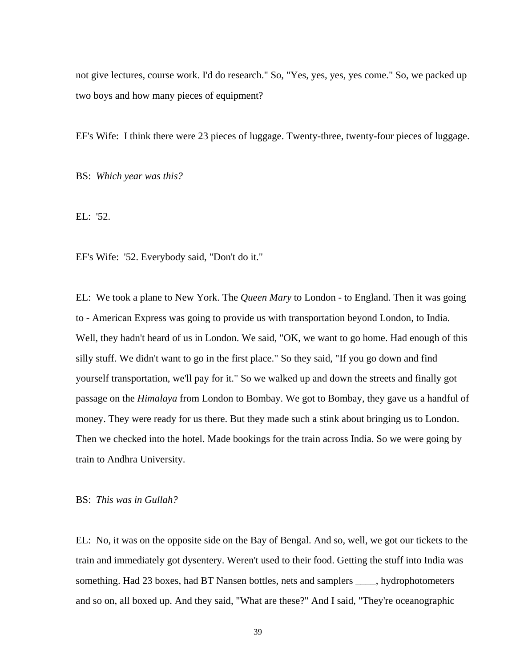not give lectures, course work. I'd do research." So, "Yes, yes, yes, yes come." So, we packed up two boys and how many pieces of equipment?

EF's Wife: I think there were 23 pieces of luggage. Twenty-three, twenty-four pieces of luggage.

BS: *Which year was this?* 

EL: '52.

EF's Wife: '52. Everybody said, "Don't do it."

EL: We took a plane to New York. The *Queen Mary* to London - to England. Then it was going to - American Express was going to provide us with transportation beyond London, to India. Well, they hadn't heard of us in London. We said, "OK, we want to go home. Had enough of this silly stuff. We didn't want to go in the first place." So they said, "If you go down and find yourself transportation, we'll pay for it." So we walked up and down the streets and finally got passage on the *Himalaya* from London to Bombay. We got to Bombay, they gave us a handful of money. They were ready for us there. But they made such a stink about bringing us to London. Then we checked into the hotel. Made bookings for the train across India. So we were going by train to Andhra University.

BS: *This was in Gullah?* 

EL: No, it was on the opposite side on the Bay of Bengal. And so, well, we got our tickets to the train and immediately got dysentery. Weren't used to their food. Getting the stuff into India was something. Had 23 boxes, had BT Nansen bottles, nets and samplers \_\_\_\_, hydrophotometers and so on, all boxed up. And they said, "What are these?" And I said, "They're oceanographic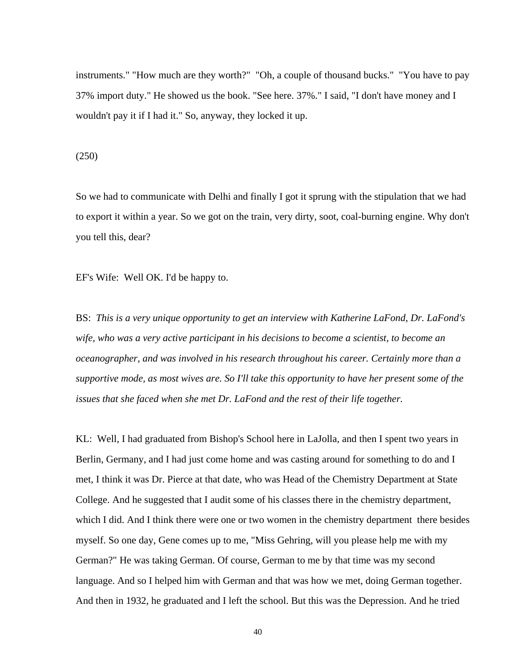instruments." "How much are they worth?" "Oh, a couple of thousand bucks." "You have to pay 37% import duty." He showed us the book. "See here. 37%." I said, "I don't have money and I wouldn't pay it if I had it." So, anyway, they locked it up.

(250)

So we had to communicate with Delhi and finally I got it sprung with the stipulation that we had to export it within a year. So we got on the train, very dirty, soot, coal-burning engine. Why don't you tell this, dear?

EF's Wife: Well OK. I'd be happy to.

BS: *This is a very unique opportunity to get an interview with Katherine LaFond, Dr. LaFond's wife, who was a very active participant in his decisions to become a scientist, to become an oceanographer, and was involved in his research throughout his career. Certainly more than a supportive mode, as most wives are. So I'll take this opportunity to have her present some of the issues that she faced when she met Dr. LaFond and the rest of their life together.* 

KL: Well, I had graduated from Bishop's School here in LaJolla, and then I spent two years in Berlin, Germany, and I had just come home and was casting around for something to do and I met, I think it was Dr. Pierce at that date, who was Head of the Chemistry Department at State College. And he suggested that I audit some of his classes there in the chemistry department, which I did. And I think there were one or two women in the chemistry department there besides myself. So one day, Gene comes up to me, "Miss Gehring, will you please help me with my German?" He was taking German. Of course, German to me by that time was my second language. And so I helped him with German and that was how we met, doing German together. And then in 1932, he graduated and I left the school. But this was the Depression. And he tried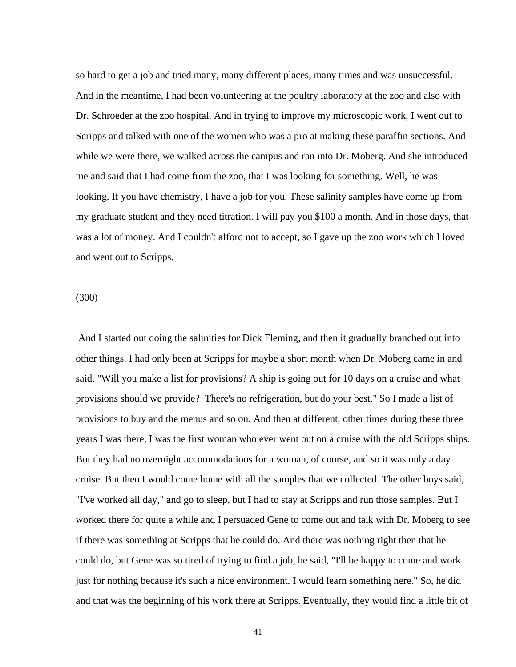so hard to get a job and tried many, many different places, many times and was unsuccessful. And in the meantime, I had been volunteering at the poultry laboratory at the zoo and also with Dr. Schroeder at the zoo hospital. And in trying to improve my microscopic work, I went out to Scripps and talked with one of the women who was a pro at making these paraffin sections. And while we were there, we walked across the campus and ran into Dr. Moberg. And she introduced me and said that I had come from the zoo, that I was looking for something. Well, he was looking. If you have chemistry, I have a job for you. These salinity samples have come up from my graduate student and they need titration. I will pay you \$100 a month. And in those days, that was a lot of money. And I couldn't afford not to accept, so I gave up the zoo work which I loved and went out to Scripps.

(300)

 And I started out doing the salinities for Dick Fleming, and then it gradually branched out into other things. I had only been at Scripps for maybe a short month when Dr. Moberg came in and said, "Will you make a list for provisions? A ship is going out for 10 days on a cruise and what provisions should we provide? There's no refrigeration, but do your best." So I made a list of provisions to buy and the menus and so on. And then at different, other times during these three years I was there, I was the first woman who ever went out on a cruise with the old Scripps ships. But they had no overnight accommodations for a woman, of course, and so it was only a day cruise. But then I would come home with all the samples that we collected. The other boys said, "I've worked all day," and go to sleep, but I had to stay at Scripps and run those samples. But I worked there for quite a while and I persuaded Gene to come out and talk with Dr. Moberg to see if there was something at Scripps that he could do. And there was nothing right then that he could do, but Gene was so tired of trying to find a job, he said, "I'll be happy to come and work just for nothing because it's such a nice environment. I would learn something here." So, he did and that was the beginning of his work there at Scripps. Eventually, they would find a little bit of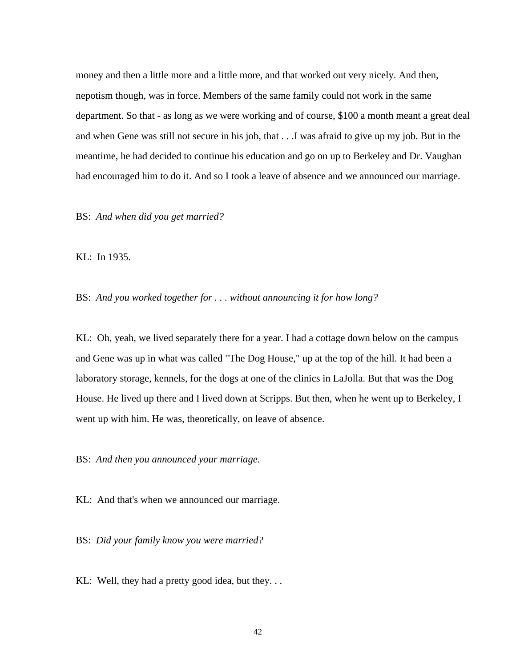money and then a little more and a little more, and that worked out very nicely. And then, nepotism though, was in force. Members of the same family could not work in the same department. So that - as long as we were working and of course, \$100 a month meant a great deal and when Gene was still not secure in his job, that . . .I was afraid to give up my job. But in the meantime, he had decided to continue his education and go on up to Berkeley and Dr. Vaughan had encouraged him to do it. And so I took a leave of absence and we announced our marriage.

BS: *And when did you get married?* 

KL: In 1935.

BS: *And you worked together for . . . without announcing it for how long?* 

KL: Oh, yeah, we lived separately there for a year. I had a cottage down below on the campus and Gene was up in what was called "The Dog House," up at the top of the hill. It had been a laboratory storage, kennels, for the dogs at one of the clinics in LaJolla. But that was the Dog House. He lived up there and I lived down at Scripps. But then, when he went up to Berkeley, I went up with him. He was, theoretically, on leave of absence.

BS: *And then you announced your marriage.* 

KL: And that's when we announced our marriage.

BS: *Did your family know you were married?*

KL: Well, they had a pretty good idea, but they...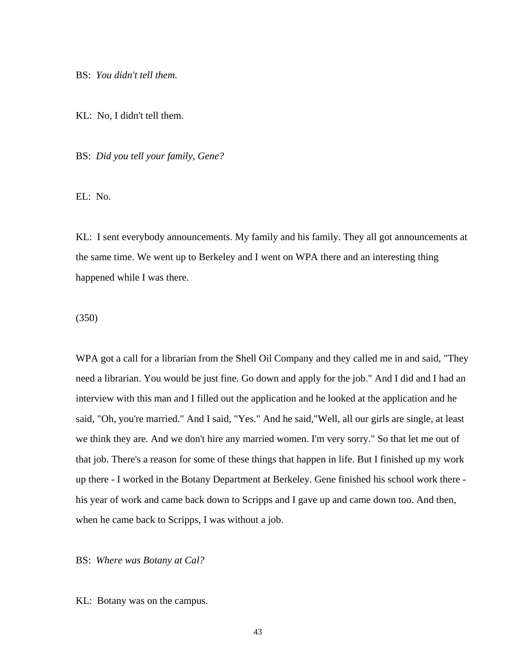BS: *You didn't tell them.* 

KL: No, I didn't tell them.

BS: *Did you tell your family, Gene?* 

 $EL: No.$ 

KL: I sent everybody announcements. My family and his family. They all got announcements at the same time. We went up to Berkeley and I went on WPA there and an interesting thing happened while I was there.

(350)

WPA got a call for a librarian from the Shell Oil Company and they called me in and said, "They need a librarian. You would be just fine. Go down and apply for the job." And I did and I had an interview with this man and I filled out the application and he looked at the application and he said, "Oh, you're married." And I said, "Yes." And he said,"Well, all our girls are single, at least we think they are. And we don't hire any married women. I'm very sorry." So that let me out of that job. There's a reason for some of these things that happen in life. But I finished up my work up there - I worked in the Botany Department at Berkeley. Gene finished his school work there his year of work and came back down to Scripps and I gave up and came down too. And then, when he came back to Scripps, I was without a job.

## BS: *Where was Botany at Cal?*

KL: Botany was on the campus.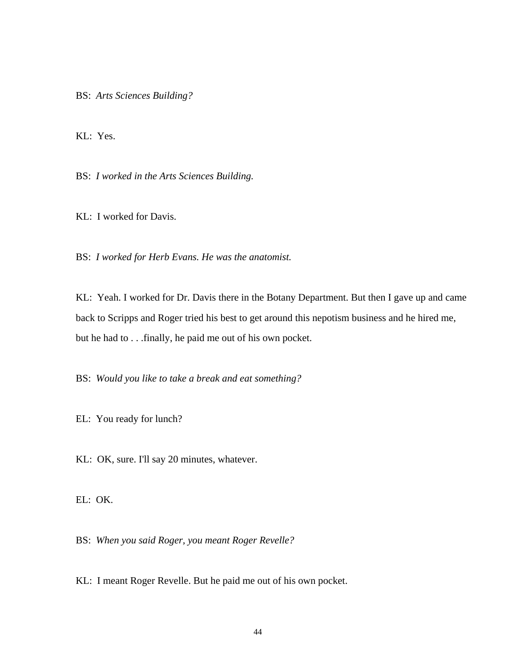BS: *Arts Sciences Building?* 

KL: Yes.

BS: *I worked in the Arts Sciences Building.* 

KL: I worked for Davis.

BS: *I worked for Herb Evans. He was the anatomist.* 

KL: Yeah. I worked for Dr. Davis there in the Botany Department. But then I gave up and came back to Scripps and Roger tried his best to get around this nepotism business and he hired me, but he had to . . .finally, he paid me out of his own pocket.

BS: *Would you like to take a break and eat something?* 

EL: You ready for lunch?

KL: OK, sure. I'll say 20 minutes, whatever.

EL: OK.

BS: *When you said Roger, you meant Roger Revelle?* 

KL: I meant Roger Revelle. But he paid me out of his own pocket.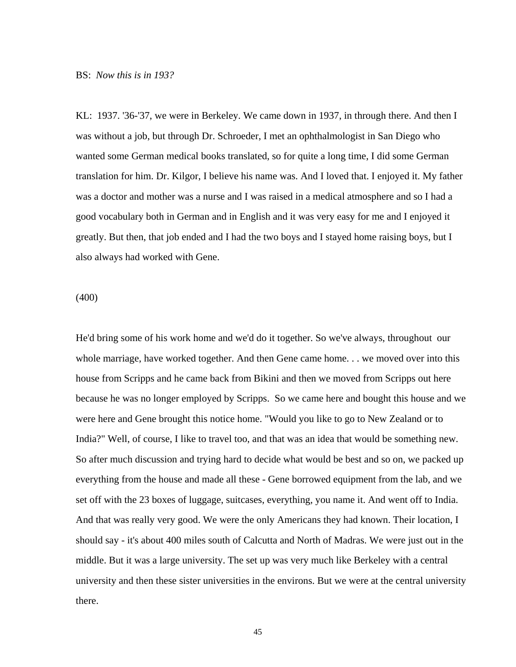# BS: *Now this is in 193?*

KL: 1937. '36-'37, we were in Berkeley. We came down in 1937, in through there. And then I was without a job, but through Dr. Schroeder, I met an ophthalmologist in San Diego who wanted some German medical books translated, so for quite a long time, I did some German translation for him. Dr. Kilgor, I believe his name was. And I loved that. I enjoyed it. My father was a doctor and mother was a nurse and I was raised in a medical atmosphere and so I had a good vocabulary both in German and in English and it was very easy for me and I enjoyed it greatly. But then, that job ended and I had the two boys and I stayed home raising boys, but I also always had worked with Gene.

(400)

He'd bring some of his work home and we'd do it together. So we've always, throughout our whole marriage, have worked together. And then Gene came home. . . we moved over into this house from Scripps and he came back from Bikini and then we moved from Scripps out here because he was no longer employed by Scripps. So we came here and bought this house and we were here and Gene brought this notice home. "Would you like to go to New Zealand or to India?" Well, of course, I like to travel too, and that was an idea that would be something new. So after much discussion and trying hard to decide what would be best and so on, we packed up everything from the house and made all these - Gene borrowed equipment from the lab, and we set off with the 23 boxes of luggage, suitcases, everything, you name it. And went off to India. And that was really very good. We were the only Americans they had known. Their location, I should say - it's about 400 miles south of Calcutta and North of Madras. We were just out in the middle. But it was a large university. The set up was very much like Berkeley with a central university and then these sister universities in the environs. But we were at the central university there.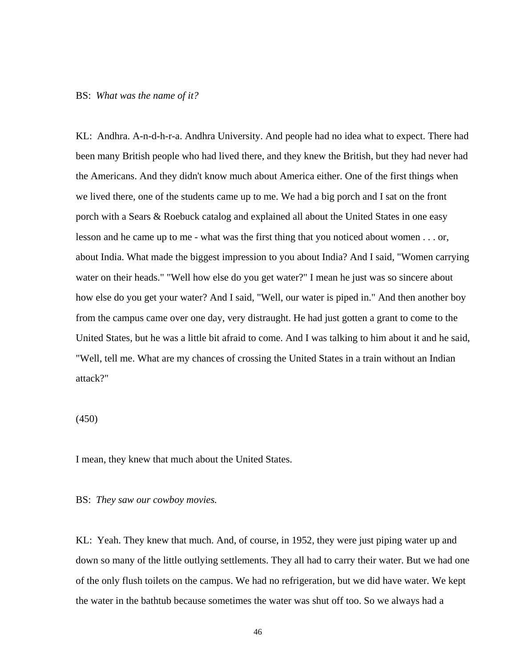#### BS: *What was the name of it?*

KL: Andhra. A-n-d-h-r-a. Andhra University. And people had no idea what to expect. There had been many British people who had lived there, and they knew the British, but they had never had the Americans. And they didn't know much about America either. One of the first things when we lived there, one of the students came up to me. We had a big porch and I sat on the front porch with a Sears & Roebuck catalog and explained all about the United States in one easy lesson and he came up to me - what was the first thing that you noticed about women . . . or, about India. What made the biggest impression to you about India? And I said, "Women carrying water on their heads." "Well how else do you get water?" I mean he just was so sincere about how else do you get your water? And I said, "Well, our water is piped in." And then another boy from the campus came over one day, very distraught. He had just gotten a grant to come to the United States, but he was a little bit afraid to come. And I was talking to him about it and he said, "Well, tell me. What are my chances of crossing the United States in a train without an Indian attack?"

# (450)

I mean, they knew that much about the United States.

### BS: *They saw our cowboy movies.*

KL: Yeah. They knew that much. And, of course, in 1952, they were just piping water up and down so many of the little outlying settlements. They all had to carry their water. But we had one of the only flush toilets on the campus. We had no refrigeration, but we did have water. We kept the water in the bathtub because sometimes the water was shut off too. So we always had a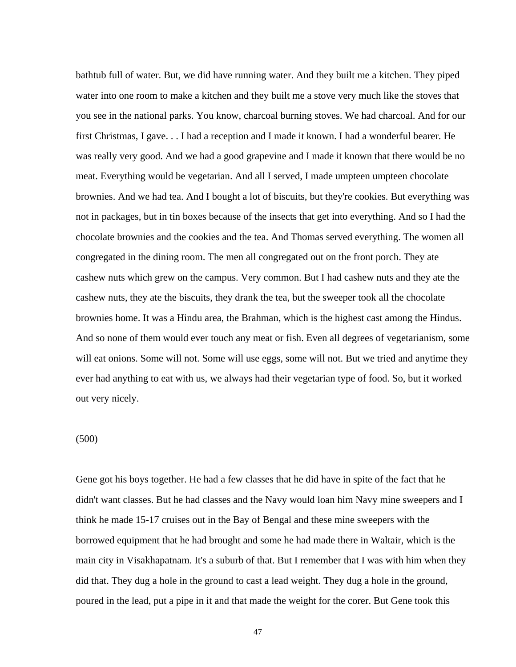bathtub full of water. But, we did have running water. And they built me a kitchen. They piped water into one room to make a kitchen and they built me a stove very much like the stoves that you see in the national parks. You know, charcoal burning stoves. We had charcoal. And for our first Christmas, I gave. . . I had a reception and I made it known. I had a wonderful bearer. He was really very good. And we had a good grapevine and I made it known that there would be no meat. Everything would be vegetarian. And all I served, I made umpteen umpteen chocolate brownies. And we had tea. And I bought a lot of biscuits, but they're cookies. But everything was not in packages, but in tin boxes because of the insects that get into everything. And so I had the chocolate brownies and the cookies and the tea. And Thomas served everything. The women all congregated in the dining room. The men all congregated out on the front porch. They ate cashew nuts which grew on the campus. Very common. But I had cashew nuts and they ate the cashew nuts, they ate the biscuits, they drank the tea, but the sweeper took all the chocolate brownies home. It was a Hindu area, the Brahman, which is the highest cast among the Hindus. And so none of them would ever touch any meat or fish. Even all degrees of vegetarianism, some will eat onions. Some will not. Some will use eggs, some will not. But we tried and anytime they ever had anything to eat with us, we always had their vegetarian type of food. So, but it worked out very nicely.

### (500)

Gene got his boys together. He had a few classes that he did have in spite of the fact that he didn't want classes. But he had classes and the Navy would loan him Navy mine sweepers and I think he made 15-17 cruises out in the Bay of Bengal and these mine sweepers with the borrowed equipment that he had brought and some he had made there in Waltair, which is the main city in Visakhapatnam. It's a suburb of that. But I remember that I was with him when they did that. They dug a hole in the ground to cast a lead weight. They dug a hole in the ground, poured in the lead, put a pipe in it and that made the weight for the corer. But Gene took this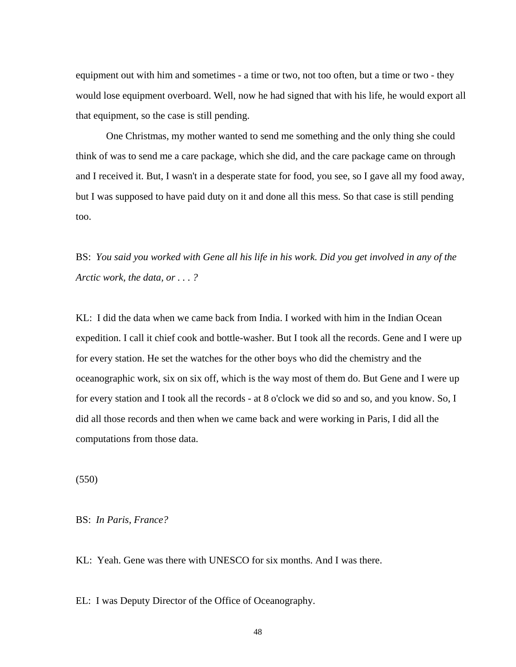equipment out with him and sometimes - a time or two, not too often, but a time or two - they would lose equipment overboard. Well, now he had signed that with his life, he would export all that equipment, so the case is still pending.

 One Christmas, my mother wanted to send me something and the only thing she could think of was to send me a care package, which she did, and the care package came on through and I received it. But, I wasn't in a desperate state for food, you see, so I gave all my food away, but I was supposed to have paid duty on it and done all this mess. So that case is still pending too.

BS: *You said you worked with Gene all his life in his work. Did you get involved in any of the Arctic work, the data, or . . . ?* 

KL: I did the data when we came back from India. I worked with him in the Indian Ocean expedition. I call it chief cook and bottle-washer. But I took all the records. Gene and I were up for every station. He set the watches for the other boys who did the chemistry and the oceanographic work, six on six off, which is the way most of them do. But Gene and I were up for every station and I took all the records - at 8 o'clock we did so and so, and you know. So, I did all those records and then when we came back and were working in Paris, I did all the computations from those data.

(550)

BS: *In Paris, France?*

KL: Yeah. Gene was there with UNESCO for six months. And I was there.

EL: I was Deputy Director of the Office of Oceanography.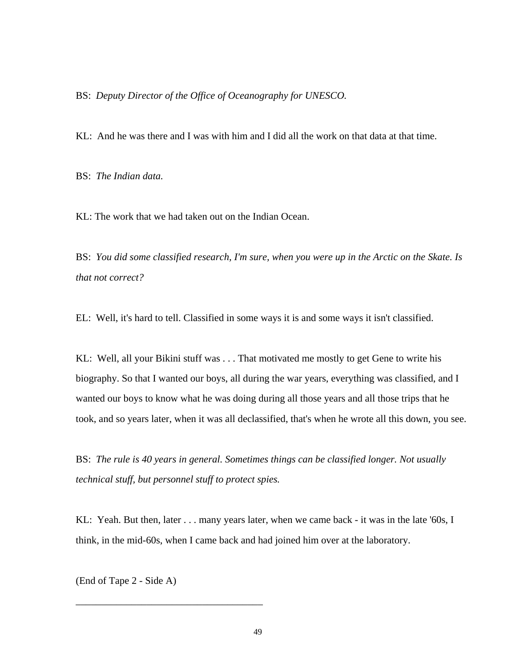### BS: *Deputy Director of the Office of Oceanography for UNESCO.*

KL: And he was there and I was with him and I did all the work on that data at that time.

BS: *The Indian data.*

KL: The work that we had taken out on the Indian Ocean.

BS: *You did some classified research, I'm sure, when you were up in the Arctic on the Skate. Is that not correct?* 

EL: Well, it's hard to tell. Classified in some ways it is and some ways it isn't classified.

KL: Well, all your Bikini stuff was . . . That motivated me mostly to get Gene to write his biography. So that I wanted our boys, all during the war years, everything was classified, and I wanted our boys to know what he was doing during all those years and all those trips that he took, and so years later, when it was all declassified, that's when he wrote all this down, you see.

BS: *The rule is 40 years in general. Sometimes things can be classified longer. Not usually technical stuff, but personnel stuff to protect spies.* 

KL: Yeah. But then, later . . . many years later, when we came back - it was in the late '60s, I think, in the mid-60s, when I came back and had joined him over at the laboratory.

(End of Tape 2 - Side A)

\_\_\_\_\_\_\_\_\_\_\_\_\_\_\_\_\_\_\_\_\_\_\_\_\_\_\_\_\_\_\_\_\_\_\_\_\_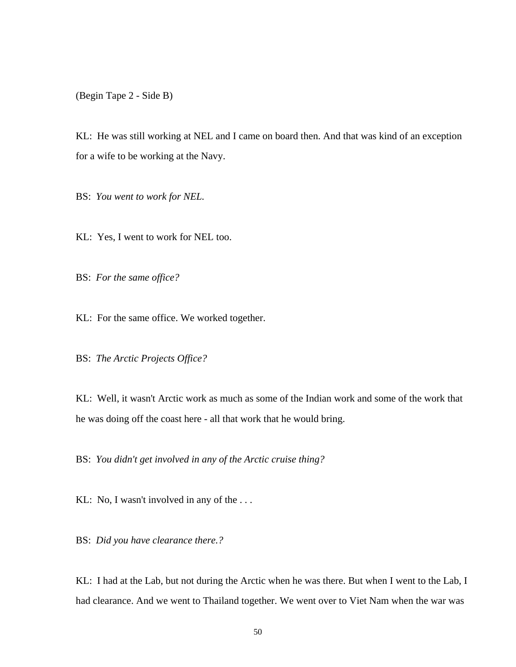(Begin Tape 2 - Side B)

KL: He was still working at NEL and I came on board then. And that was kind of an exception for a wife to be working at the Navy.

BS: *You went to work for NEL.* 

KL: Yes, I went to work for NEL too.

BS: *For the same office?* 

KL: For the same office. We worked together.

BS: *The Arctic Projects Office?* 

KL: Well, it wasn't Arctic work as much as some of the Indian work and some of the work that he was doing off the coast here - all that work that he would bring.

BS: *You didn't get involved in any of the Arctic cruise thing?* 

KL: No, I wasn't involved in any of the ...

BS: *Did you have clearance there.?* 

KL: I had at the Lab, but not during the Arctic when he was there. But when I went to the Lab, I had clearance. And we went to Thailand together. We went over to Viet Nam when the war was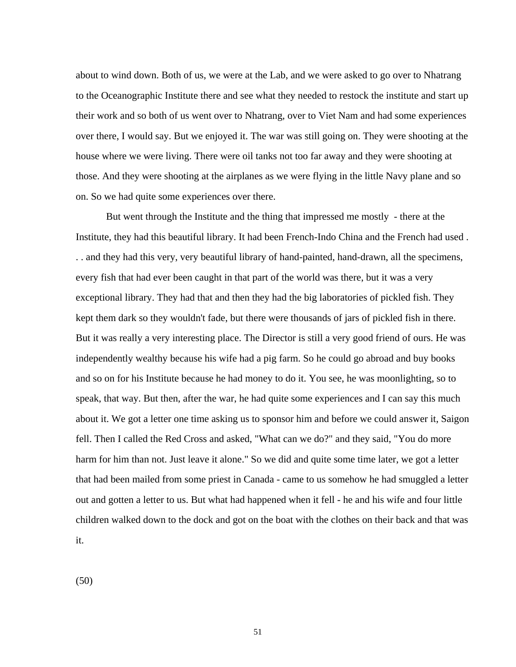about to wind down. Both of us, we were at the Lab, and we were asked to go over to Nhatrang to the Oceanographic Institute there and see what they needed to restock the institute and start up their work and so both of us went over to Nhatrang, over to Viet Nam and had some experiences over there, I would say. But we enjoyed it. The war was still going on. They were shooting at the house where we were living. There were oil tanks not too far away and they were shooting at those. And they were shooting at the airplanes as we were flying in the little Navy plane and so on. So we had quite some experiences over there.

 But went through the Institute and the thing that impressed me mostly - there at the Institute, they had this beautiful library. It had been French-Indo China and the French had used . . . and they had this very, very beautiful library of hand-painted, hand-drawn, all the specimens, every fish that had ever been caught in that part of the world was there, but it was a very exceptional library. They had that and then they had the big laboratories of pickled fish. They kept them dark so they wouldn't fade, but there were thousands of jars of pickled fish in there. But it was really a very interesting place. The Director is still a very good friend of ours. He was independently wealthy because his wife had a pig farm. So he could go abroad and buy books and so on for his Institute because he had money to do it. You see, he was moonlighting, so to speak, that way. But then, after the war, he had quite some experiences and I can say this much about it. We got a letter one time asking us to sponsor him and before we could answer it, Saigon fell. Then I called the Red Cross and asked, "What can we do?" and they said, "You do more harm for him than not. Just leave it alone." So we did and quite some time later, we got a letter that had been mailed from some priest in Canada - came to us somehow he had smuggled a letter out and gotten a letter to us. But what had happened when it fell - he and his wife and four little children walked down to the dock and got on the boat with the clothes on their back and that was it.

(50)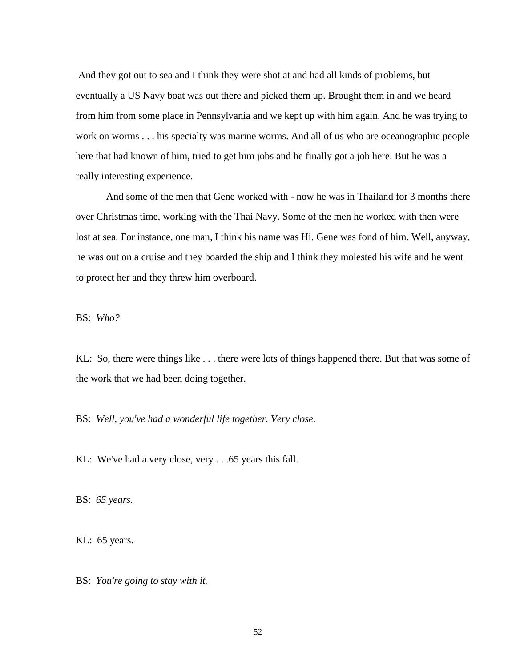And they got out to sea and I think they were shot at and had all kinds of problems, but eventually a US Navy boat was out there and picked them up. Brought them in and we heard from him from some place in Pennsylvania and we kept up with him again. And he was trying to work on worms . . . his specialty was marine worms. And all of us who are oceanographic people here that had known of him, tried to get him jobs and he finally got a job here. But he was a really interesting experience.

 And some of the men that Gene worked with - now he was in Thailand for 3 months there over Christmas time, working with the Thai Navy. Some of the men he worked with then were lost at sea. For instance, one man, I think his name was Hi. Gene was fond of him. Well, anyway, he was out on a cruise and they boarded the ship and I think they molested his wife and he went to protect her and they threw him overboard.

BS: *Who?* 

KL: So, there were things like . . . there were lots of things happened there. But that was some of the work that we had been doing together.

BS: *Well, you've had a wonderful life together. Very close.*

KL: We've had a very close, very . . .65 years this fall.

BS: *65 years.* 

KL: 65 years.

BS: *You're going to stay with it.*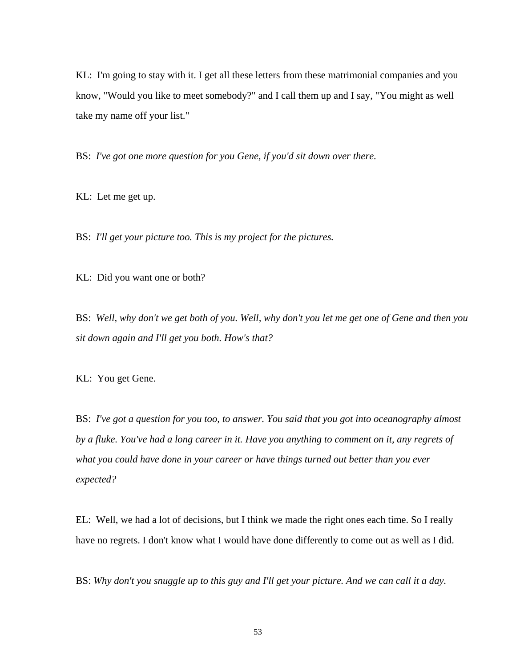KL: I'm going to stay with it. I get all these letters from these matrimonial companies and you know, "Would you like to meet somebody?" and I call them up and I say, "You might as well take my name off your list."

BS: *I've got one more question for you Gene, if you'd sit down over there.* 

KL: Let me get up.

BS: *I'll get your picture too. This is my project for the pictures.* 

KL: Did you want one or both?

BS: *Well, why don't we get both of you. Well, why don't you let me get one of Gene and then you sit down again and I'll get you both. How's that?* 

KL: You get Gene.

BS: *I've got a question for you too, to answer. You said that you got into oceanography almost by a fluke. You've had a long career in it. Have you anything to comment on it, any regrets of what you could have done in your career or have things turned out better than you ever expected?* 

EL: Well, we had a lot of decisions, but I think we made the right ones each time. So I really have no regrets. I don't know what I would have done differently to come out as well as I did.

BS: *Why don't you snuggle up to this guy and I'll get your picture. And we can call it a day.*